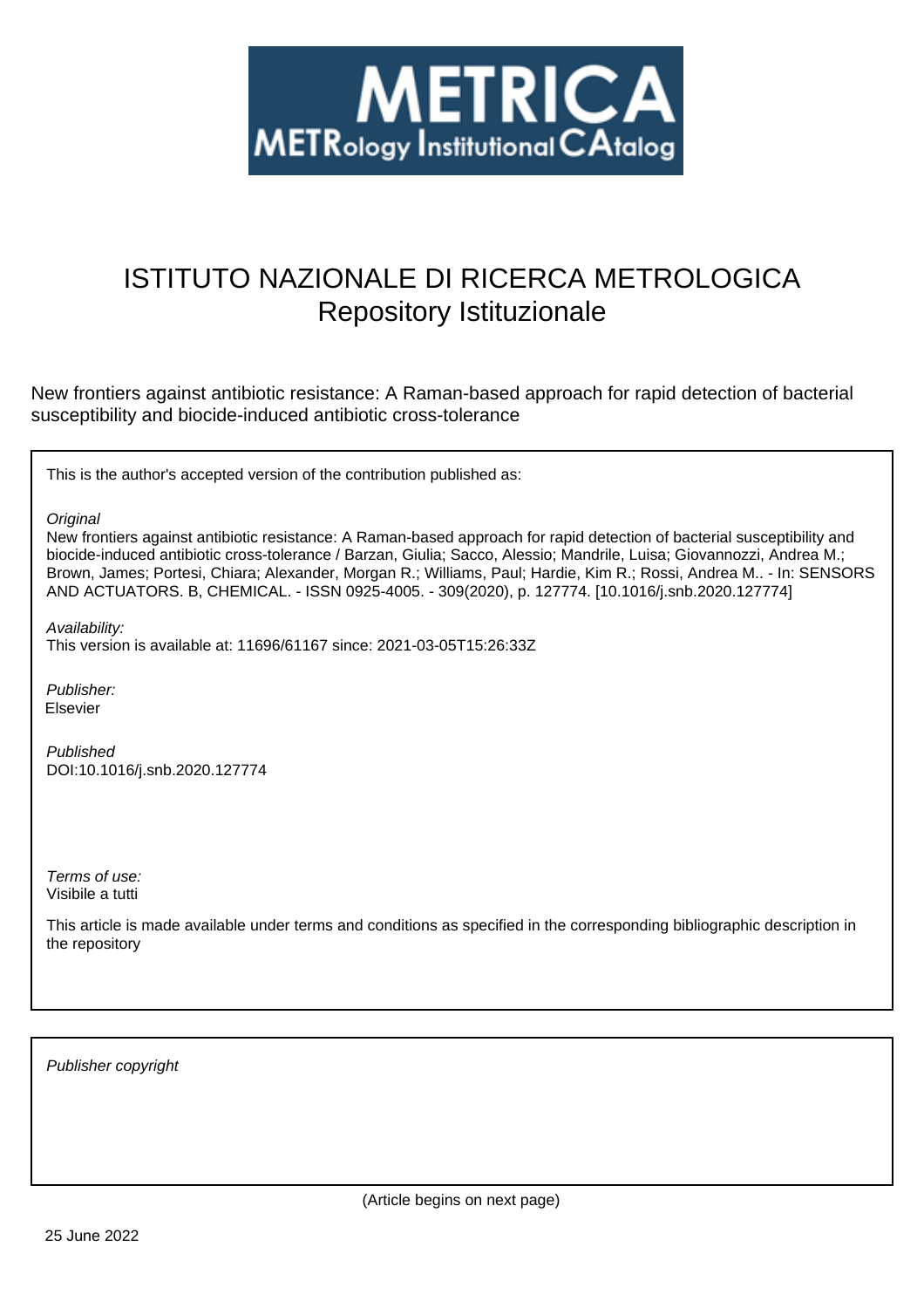

# ISTITUTO NAZIONALE DI RICERCA METROLOGICA Repository Istituzionale

New frontiers against antibiotic resistance: A Raman-based approach for rapid detection of bacterial susceptibility and biocide-induced antibiotic cross-tolerance

This is the author's accepted version of the contribution published as:

**Original** 

New frontiers against antibiotic resistance: A Raman-based approach for rapid detection of bacterial susceptibility and biocide-induced antibiotic cross-tolerance / Barzan, Giulia; Sacco, Alessio; Mandrile, Luisa; Giovannozzi, Andrea M.; Brown, James; Portesi, Chiara; Alexander, Morgan R.; Williams, Paul; Hardie, Kim R.; Rossi, Andrea M.. - In: SENSORS AND ACTUATORS. B, CHEMICAL. - ISSN 0925-4005. - 309(2020), p. 127774. [10.1016/j.snb.2020.127774]

Availability:

This version is available at: 11696/61167 since: 2021-03-05T15:26:33Z

Publisher: Elsevier

Published DOI:10.1016/j.snb.2020.127774

Terms of use: Visibile a tutti

This article is made available under terms and conditions as specified in the corresponding bibliographic description in the repository

Publisher copyright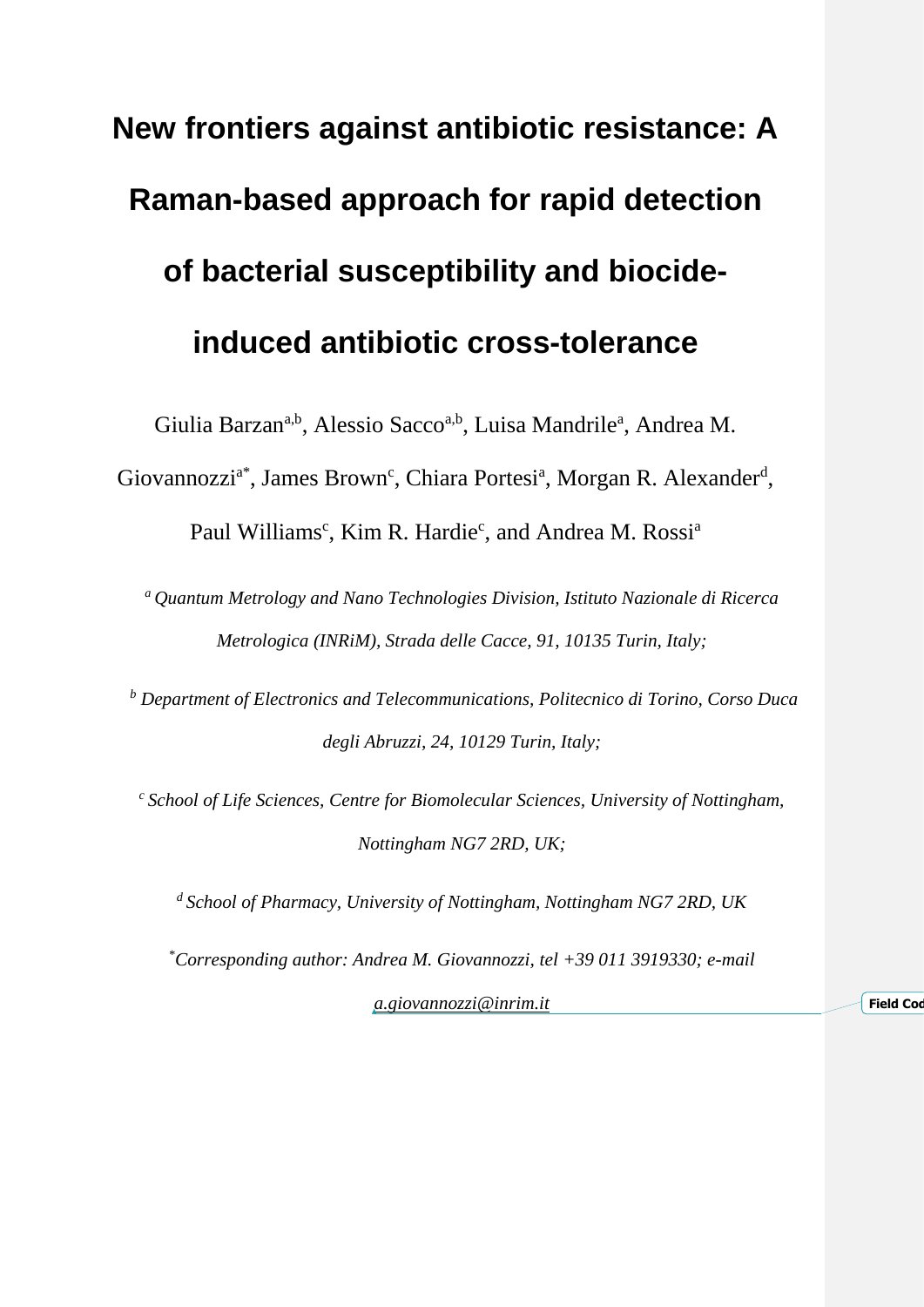# **New frontiers against antibiotic resistance: A Raman-based approach for rapid detection of bacterial susceptibility and biocideinduced antibiotic cross-tolerance**

Giulia Barzan<sup>a,b</sup>, Alessio Sacco<sup>a,b</sup>, Luisa Mandrile<sup>a</sup>, Andrea M.

Giovannozzi<sup>a\*</sup>, James Brown<sup>c</sup>, Chiara Portesi<sup>a</sup>, Morgan R. Alexander<sup>d</sup>,

Paul Williams<sup>c</sup>, Kim R. Hardie<sup>c</sup>, and Andrea M. Rossi<sup>a</sup>

*<sup>a</sup>Quantum Metrology and Nano Technologies Division, Istituto Nazionale di Ricerca Metrologica (INRiM), Strada delle Cacce, 91, 10135 Turin, Italy;*

*<sup>b</sup> Department of Electronics and Telecommunications, Politecnico di Torino, Corso Duca degli Abruzzi, 24, 10129 Turin, Italy;*

*<sup>c</sup>School of Life Sciences, Centre for Biomolecular Sciences, University of Nottingham, Nottingham NG7 2RD, UK;*

*<sup>d</sup>School of Pharmacy, University of Nottingham, Nottingham NG7 2RD, UK*

*\*Corresponding author: Andrea M. Giovannozzi, tel +39 011 3919330; e-mail*

*[a.giovannozzi@inrim.it](mailto:a.giovannozzi@inrim.it)* **Field Code Field Code**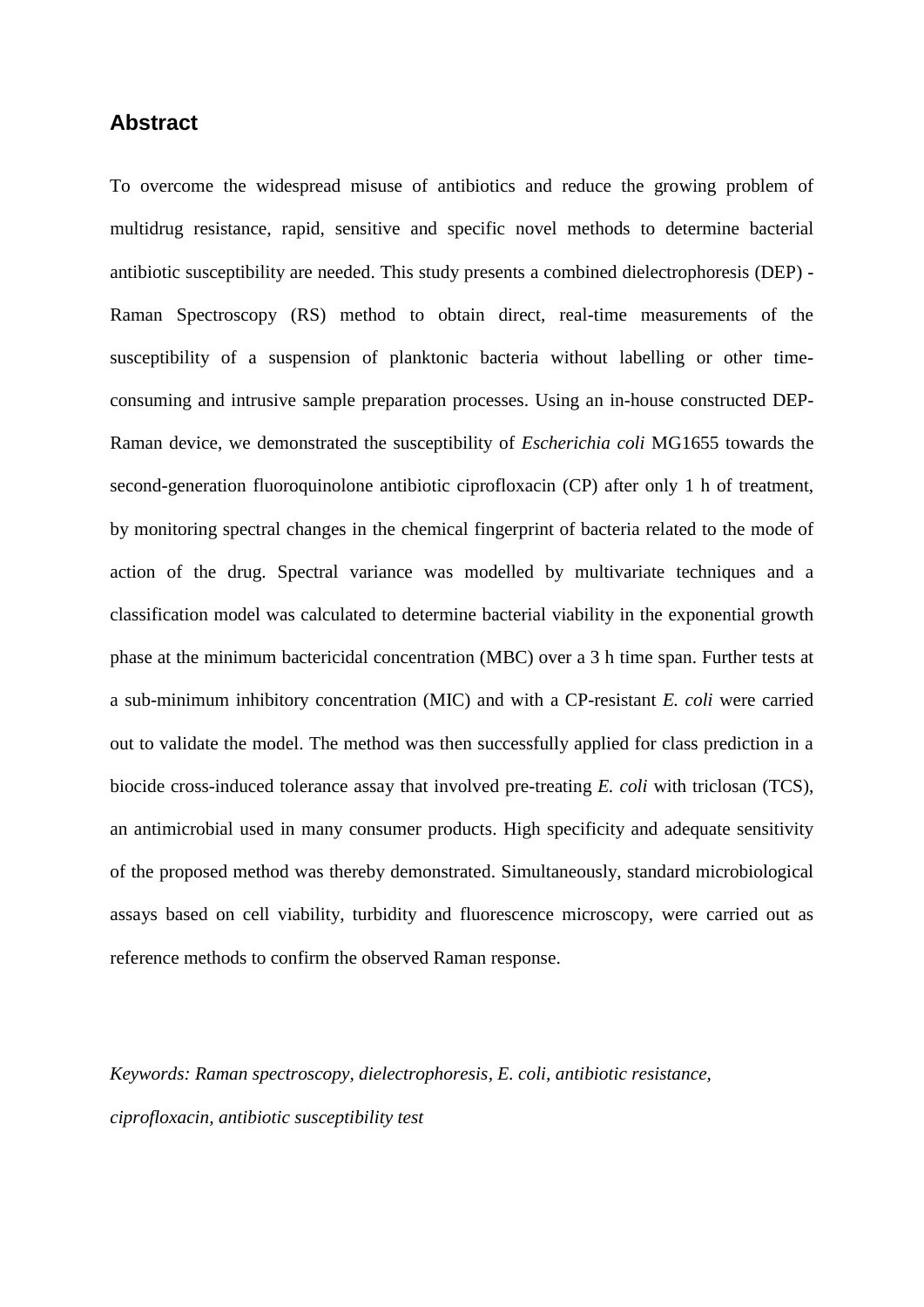# **Abstract**

To overcome the widespread misuse of antibiotics and reduce the growing problem of multidrug resistance, rapid, sensitive and specific novel methods to determine bacterial antibiotic susceptibility are needed. This study presents a combined dielectrophoresis (DEP) - Raman Spectroscopy (RS) method to obtain direct, real-time measurements of the susceptibility of a suspension of planktonic bacteria without labelling or other timeconsuming and intrusive sample preparation processes. Using an in-house constructed DEP-Raman device, we demonstrated the susceptibility of *Escherichia coli* MG1655 towards the second-generation fluoroquinolone antibiotic ciprofloxacin (CP) after only 1 h of treatment, by monitoring spectral changes in the chemical fingerprint of bacteria related to the mode of action of the drug. Spectral variance was modelled by multivariate techniques and a classification model was calculated to determine bacterial viability in the exponential growth phase at the minimum bactericidal concentration (MBC) over a 3 h time span. Further tests at a sub-minimum inhibitory concentration (MIC) and with a CP-resistant *E. coli* were carried out to validate the model. The method was then successfully applied for class prediction in a biocide cross-induced tolerance assay that involved pre-treating *E. coli* with triclosan (TCS), an antimicrobial used in many consumer products. High specificity and adequate sensitivity of the proposed method was thereby demonstrated. Simultaneously, standard microbiological assays based on cell viability, turbidity and fluorescence microscopy, were carried out as reference methods to confirm the observed Raman response.

*Keywords: Raman spectroscopy, dielectrophoresis, E. coli, antibiotic resistance, ciprofloxacin, antibiotic susceptibility test*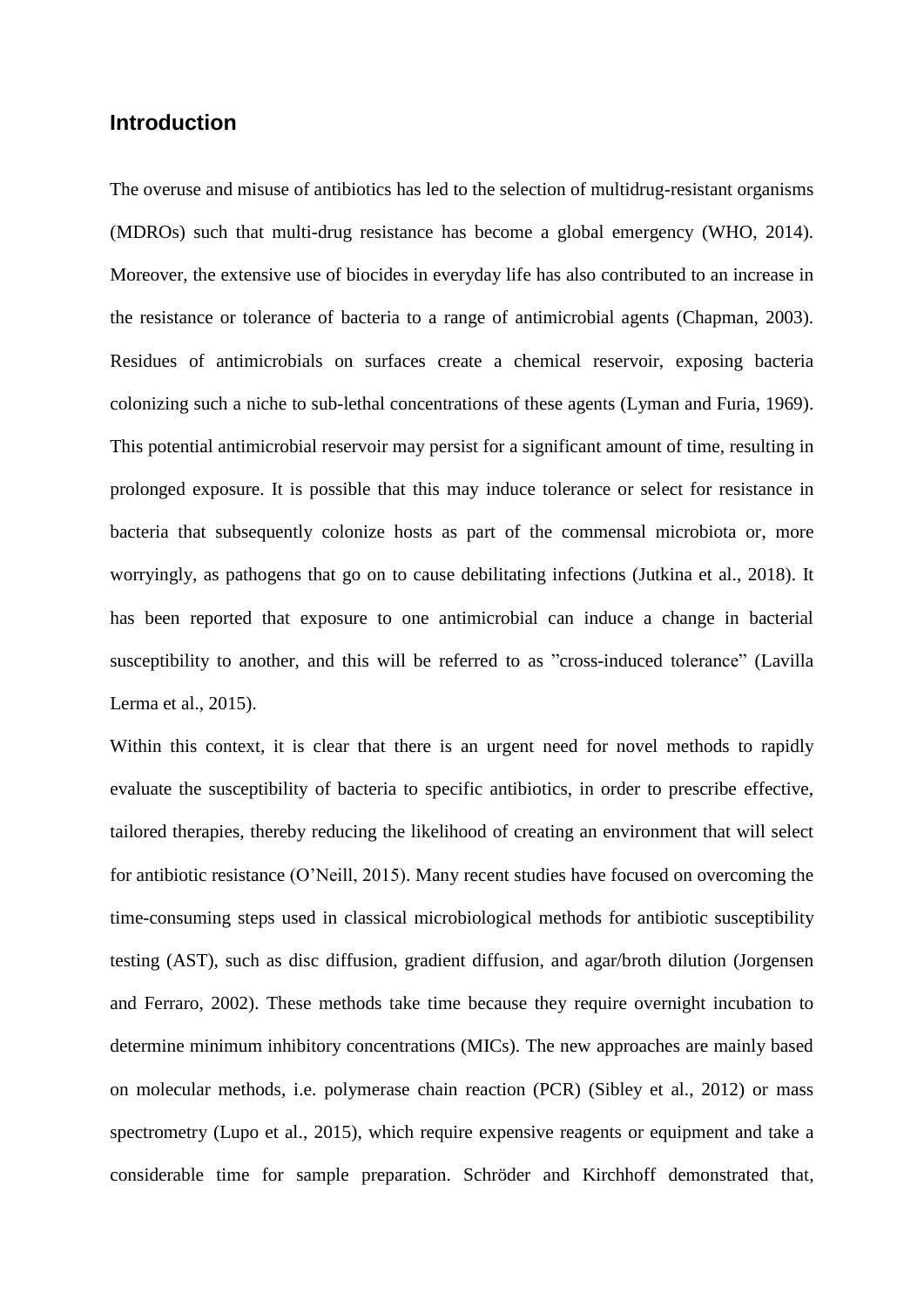# **Introduction**

The overuse and misuse of antibiotics has led to the selection of multidrug-resistant organisms (MDROs) such that multi-drug resistance has become a global emergency (WHO, 2014). Moreover, the extensive use of biocides in everyday life has also contributed to an increase in the resistance or tolerance of bacteria to a range of antimicrobial agents (Chapman, 2003). Residues of antimicrobials on surfaces create a chemical reservoir, exposing bacteria colonizing such a niche to sub-lethal concentrations of these agents (Lyman and Furia, 1969). This potential antimicrobial reservoir may persist for a significant amount of time, resulting in prolonged exposure. It is possible that this may induce tolerance or select for resistance in bacteria that subsequently colonize hosts as part of the commensal microbiota or, more worryingly, as pathogens that go on to cause debilitating infections (Jutkina et al., 2018). It has been reported that exposure to one antimicrobial can induce a change in bacterial susceptibility to another, and this will be referred to as "cross-induced tolerance" (Lavilla Lerma et al., 2015).

Within this context, it is clear that there is an urgent need for novel methods to rapidly evaluate the susceptibility of bacteria to specific antibiotics, in order to prescribe effective, tailored therapies, thereby reducing the likelihood of creating an environment that will select for antibiotic resistance (O'Neill, 2015). Many recent studies have focused on overcoming the time-consuming steps used in classical microbiological methods for antibiotic susceptibility testing (AST), such as disc diffusion, gradient diffusion, and agar/broth dilution (Jorgensen and Ferraro, 2002). These methods take time because they require overnight incubation to determine minimum inhibitory concentrations (MICs). The new approaches are mainly based on molecular methods, i.e. polymerase chain reaction (PCR) (Sibley et al., 2012) or mass spectrometry (Lupo et al., 2015), which require expensive reagents or equipment and take a considerable time for sample preparation. Schröder and Kirchhoff demonstrated that,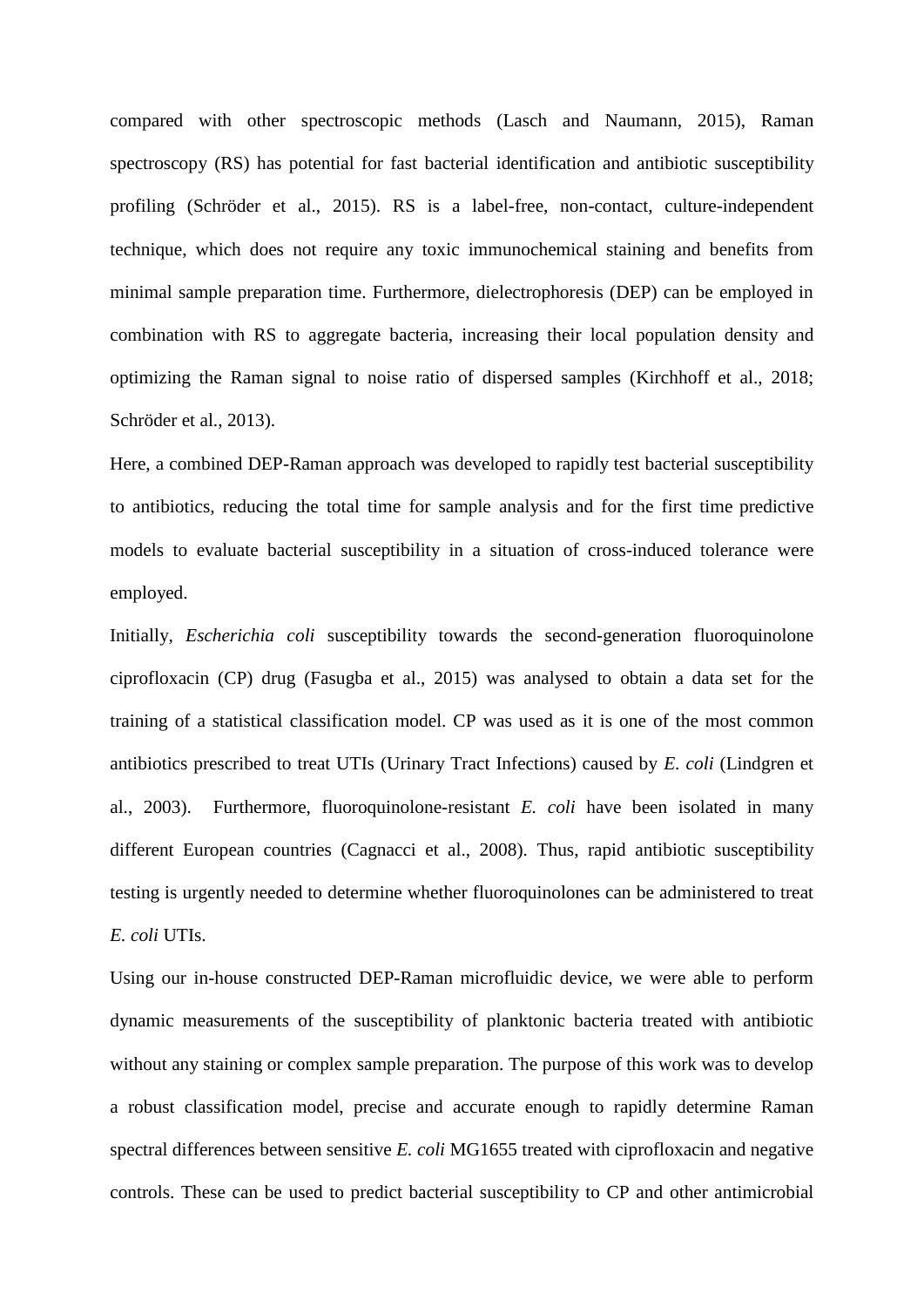compared with other spectroscopic methods (Lasch and Naumann, 2015), Raman spectroscopy (RS) has potential for fast bacterial identification and antibiotic susceptibility profiling (Schröder et al., 2015). RS is a label-free, non-contact, culture-independent technique, which does not require any toxic immunochemical staining and benefits from minimal sample preparation time. Furthermore, dielectrophoresis (DEP) can be employed in combination with RS to aggregate bacteria, increasing their local population density and optimizing the Raman signal to noise ratio of dispersed samples (Kirchhoff et al., 2018; Schröder et al., 2013).

Here, a combined DEP-Raman approach was developed to rapidly test bacterial susceptibility to antibiotics, reducing the total time for sample analysis and for the first time predictive models to evaluate bacterial susceptibility in a situation of cross-induced tolerance were employed.

Initially, *Escherichia coli* susceptibility towards the second-generation fluoroquinolone ciprofloxacin (CP) drug (Fasugba et al., 2015) was analysed to obtain a data set for the training of a statistical classification model. CP was used as it is one of the most common antibiotics prescribed to treat UTIs (Urinary Tract Infections) caused by *E. coli* (Lindgren et al., 2003). Furthermore, fluoroquinolone-resistant *E. coli* have been isolated in many different European countries (Cagnacci et al., 2008). Thus, rapid antibiotic susceptibility testing is urgently needed to determine whether fluoroquinolones can be administered to treat *E. coli* UTIs.

Using our in-house constructed DEP-Raman microfluidic device, we were able to perform dynamic measurements of the susceptibility of planktonic bacteria treated with antibiotic without any staining or complex sample preparation. The purpose of this work was to develop a robust classification model, precise and accurate enough to rapidly determine Raman spectral differences between sensitive *E. coli* MG1655 treated with ciprofloxacin and negative controls. These can be used to predict bacterial susceptibility to CP and other antimicrobial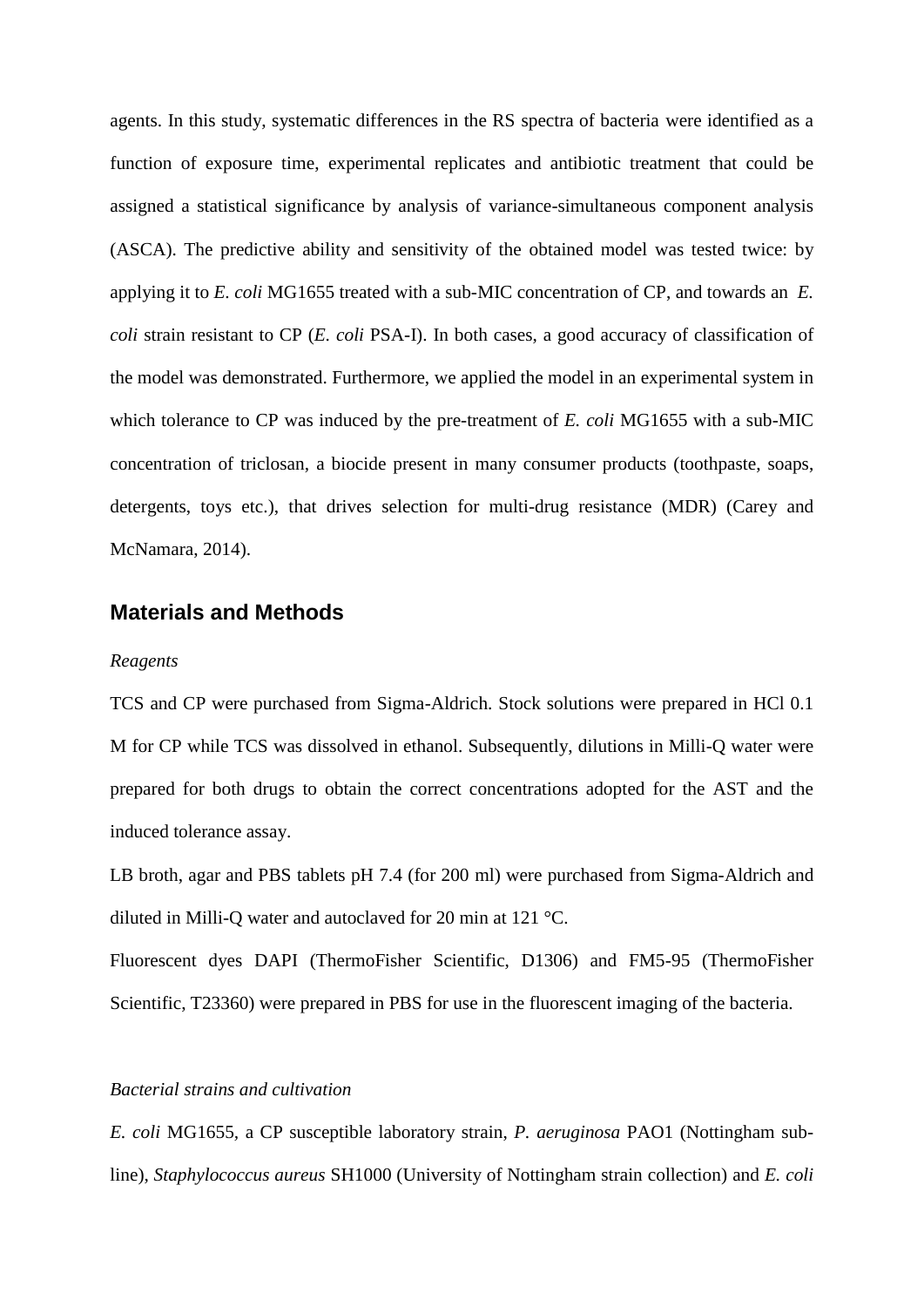agents. In this study, systematic differences in the RS spectra of bacteria were identified as a function of exposure time, experimental replicates and antibiotic treatment that could be assigned a statistical significance by analysis of variance-simultaneous component analysis (ASCA). The predictive ability and sensitivity of the obtained model was tested twice: by applying it to *E. coli* MG1655 treated with a sub-MIC concentration of CP, and towards an *E. coli* strain resistant to CP (*E. coli* PSA-I). In both cases, a good accuracy of classification of the model was demonstrated. Furthermore, we applied the model in an experimental system in which tolerance to CP was induced by the pre-treatment of *E. coli* MG1655 with a sub-MIC concentration of triclosan, a biocide present in many consumer products (toothpaste, soaps, detergents, toys etc.), that drives selection for multi-drug resistance (MDR) (Carey and McNamara, 2014).

## **Materials and Methods**

#### *Reagents*

TCS and CP were purchased from Sigma-Aldrich. Stock solutions were prepared in HCl 0.1 M for CP while TCS was dissolved in ethanol. Subsequently, dilutions in Milli-Q water were prepared for both drugs to obtain the correct concentrations adopted for the AST and the induced tolerance assay.

LB broth, agar and PBS tablets pH 7.4 (for 200 ml) were purchased from Sigma-Aldrich and diluted in Milli-Q water and autoclaved for 20 min at 121 °C.

Fluorescent dyes DAPI (ThermoFisher Scientific, D1306) and FM5-95 (ThermoFisher Scientific, T23360) were prepared in PBS for use in the fluorescent imaging of the bacteria.

#### *Bacterial strains and cultivation*

*E. coli* MG1655*,* a CP susceptible laboratory strain, *P. aeruginosa* PAO1 (Nottingham subline), *Staphylococcus aureus* SH1000 (University of Nottingham strain collection) and *E. coli*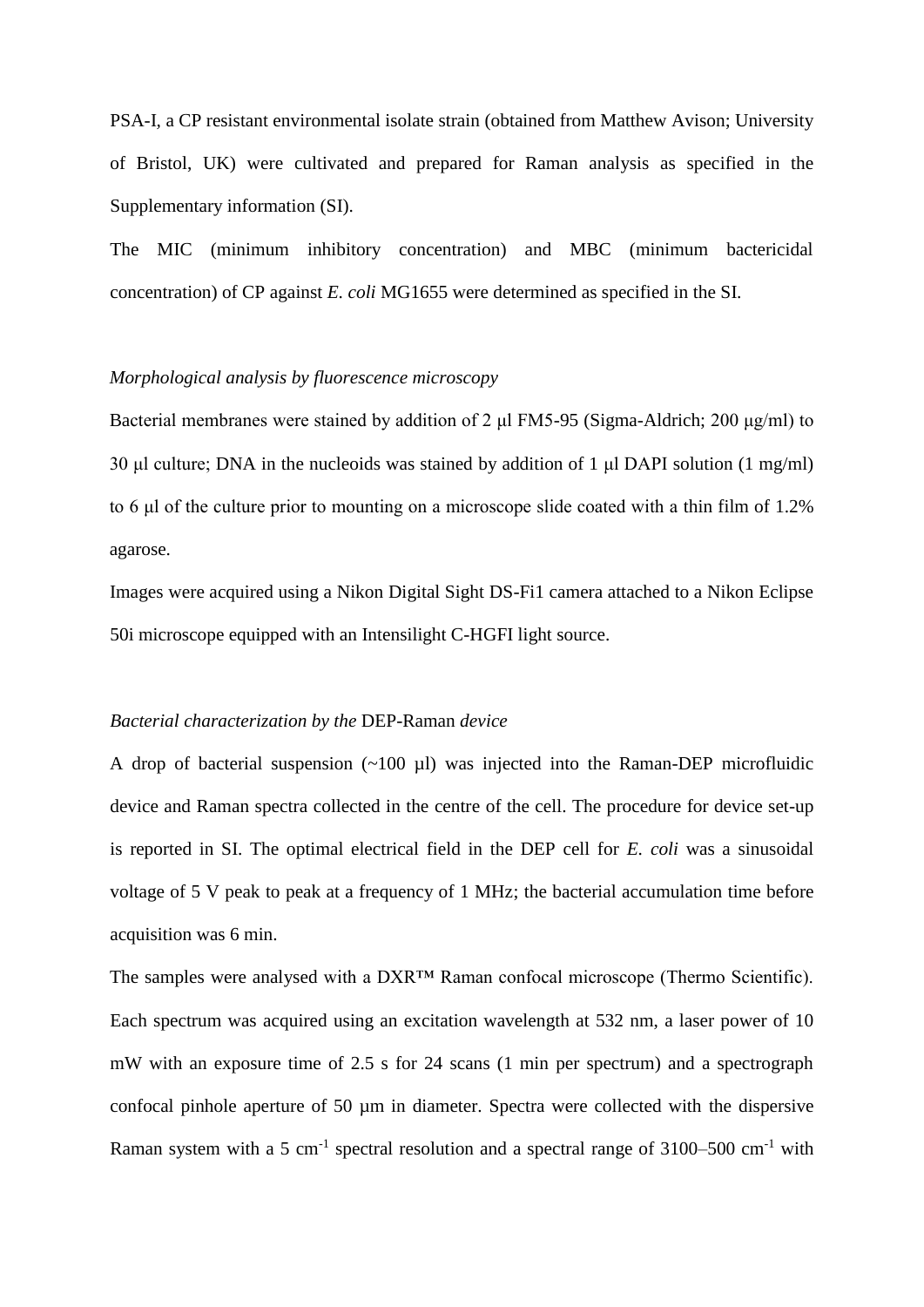PSA-I*,* a CP resistant environmental isolate strain (obtained from Matthew Avison; University of Bristol, UK) were cultivated and prepared for Raman analysis as specified in the Supplementary information (SI).

The MIC (minimum inhibitory concentration) and MBC (minimum bactericidal concentration) of CP against *E. coli* MG1655 were determined as specified in the SI.

#### *Morphological analysis by fluorescence microscopy*

Bacterial membranes were stained by addition of 2 μl FM5-95 (Sigma-Aldrich; 200 μg/ml) to 30 μl culture; DNA in the nucleoids was stained by addition of 1 μl DAPI solution (1 mg/ml) to 6 μl of the culture prior to mounting on a microscope slide coated with a thin film of 1.2% agarose.

Images were acquired using a Nikon Digital Sight DS-Fi1 camera attached to a Nikon Eclipse 50i microscope equipped with an Intensilight C-HGFI light source.

#### *Bacterial characterization by the* DEP-Raman *device*

A drop of bacterial suspension  $(\sim 100 \text{ µl})$  was injected into the Raman-DEP microfluidic device and Raman spectra collected in the centre of the cell. The procedure for device set-up is reported in SI. The optimal electrical field in the DEP cell for *E. coli* was a sinusoidal voltage of 5 V peak to peak at a frequency of 1 MHz; the bacterial accumulation time before acquisition was 6 min.

The samples were analysed with a DXR™ Raman confocal microscope (Thermo Scientific). Each spectrum was acquired using an excitation wavelength at 532 nm, a laser power of 10 mW with an exposure time of 2.5 s for 24 scans (1 min per spectrum) and a spectrograph confocal pinhole aperture of 50 µm in diameter. Spectra were collected with the dispersive Raman system with a 5 cm<sup>-1</sup> spectral resolution and a spectral range of  $3100-500$  cm<sup>-1</sup> with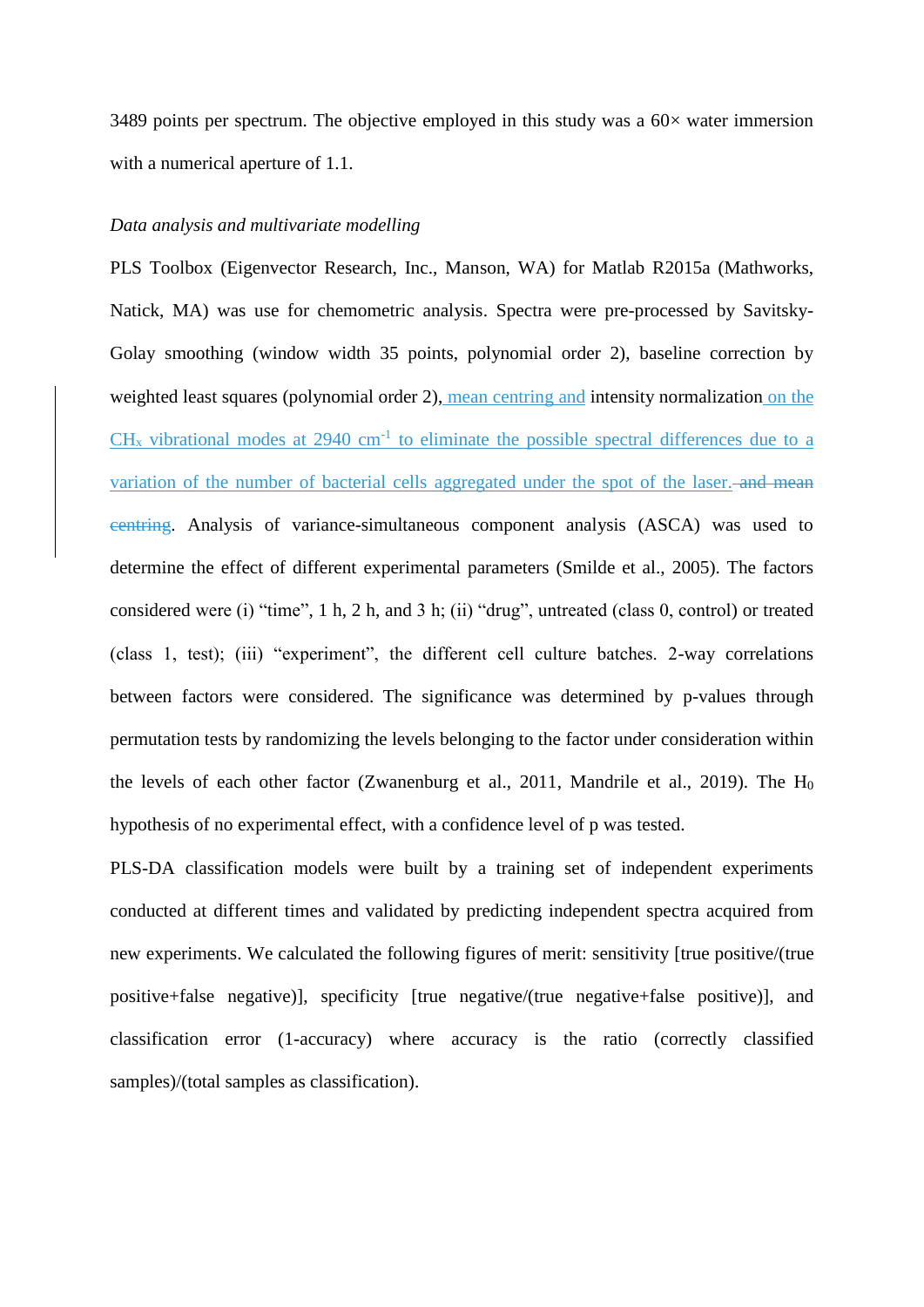3489 points per spectrum. The objective employed in this study was a  $60\times$  water immersion with a numerical aperture of 1.1.

#### *Data analysis and multivariate modelling*

PLS Toolbox (Eigenvector Research, Inc., Manson, WA) for Matlab R2015a (Mathworks, Natick, MA) was use for chemometric analysis. Spectra were pre-processed by Savitsky-Golay smoothing (window width 35 points, polynomial order 2), baseline correction by weighted least squares (polynomial order 2), mean centring and intensity normalization on the  $CH_x$  vibrational modes at 2940 cm<sup>-1</sup> to eliminate the possible spectral differences due to a variation of the number of bacterial cells aggregated under the spot of the laser. and mean centring. Analysis of variance-simultaneous component analysis (ASCA) was used to determine the effect of different experimental parameters (Smilde et al., 2005). The factors considered were (i) "time", 1 h, 2 h, and 3 h; (ii) "drug", untreated (class 0, control) or treated (class 1, test); (iii) "experiment", the different cell culture batches. 2-way correlations between factors were considered. The significance was determined by p-values through permutation tests by randomizing the levels belonging to the factor under consideration within the levels of each other factor (Zwanenburg et al., 2011, Mandrile et al., 2019). The  $H_0$ hypothesis of no experimental effect, with a confidence level of p was tested.

PLS-DA classification models were built by a training set of independent experiments conducted at different times and validated by predicting independent spectra acquired from new experiments. We calculated the following figures of merit: sensitivity [true positive/(true positive+false negative)], specificity [true negative/(true negative+false positive)], and classification error (1-accuracy) where accuracy is the ratio (correctly classified samples)/(total samples as classification).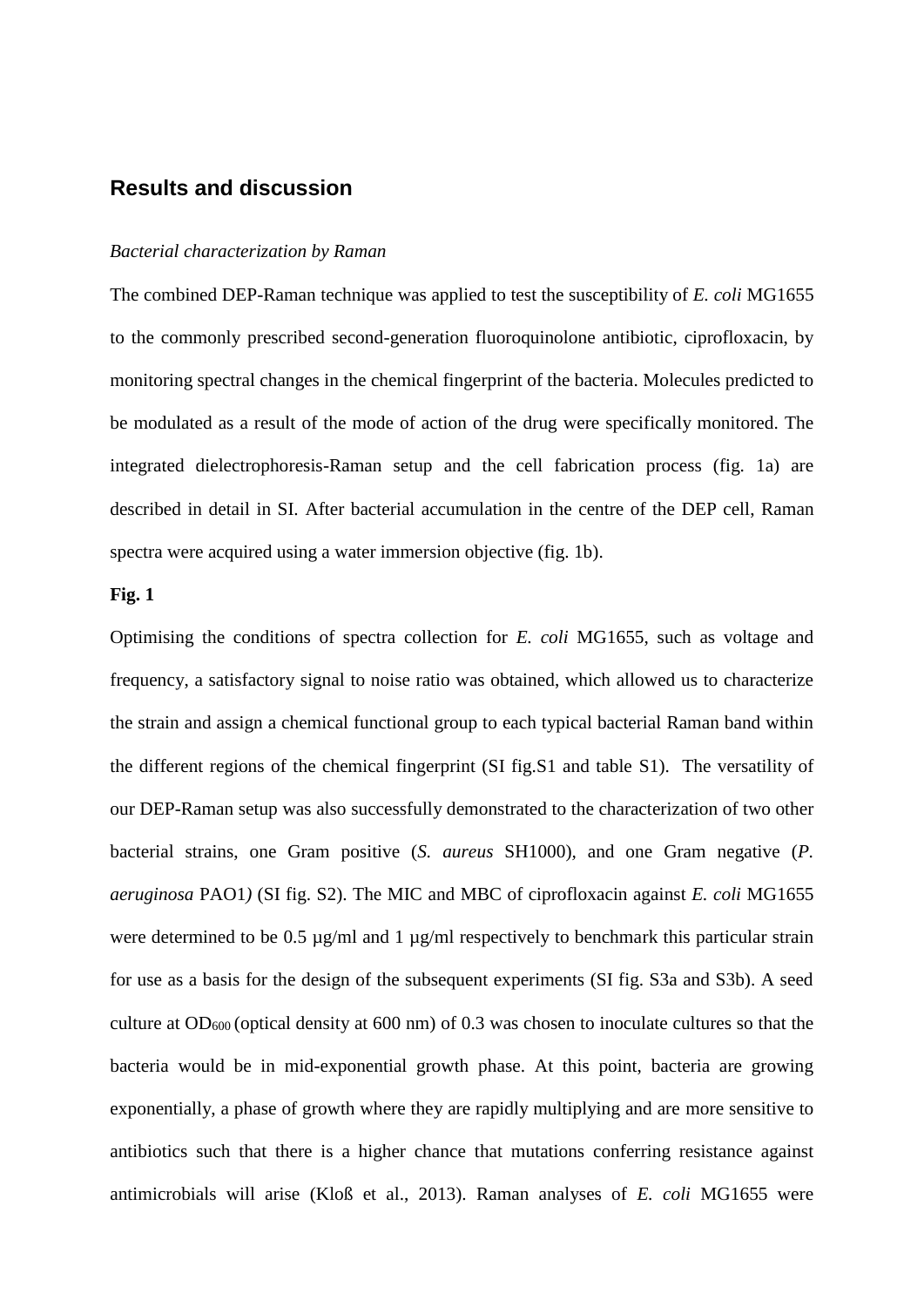# **Results and discussion**

#### *Bacterial characterization by Raman*

The combined DEP-Raman technique was applied to test the susceptibility of *E. coli* MG1655 to the commonly prescribed second-generation fluoroquinolone antibiotic, ciprofloxacin, by monitoring spectral changes in the chemical fingerprint of the bacteria. Molecules predicted to be modulated as a result of the mode of action of the drug were specifically monitored. The integrated dielectrophoresis-Raman setup and the cell fabrication process (fig. 1a) are described in detail in SI. After bacterial accumulation in the centre of the DEP cell, Raman spectra were acquired using a water immersion objective (fig. 1b).

#### **Fig. 1**

Optimising the conditions of spectra collection for *E. coli* MG1655, such as voltage and frequency, a satisfactory signal to noise ratio was obtained, which allowed us to characterize the strain and assign a chemical functional group to each typical bacterial Raman band within the different regions of the chemical fingerprint (SI fig.S1 and table S1). The versatility of our DEP-Raman setup was also successfully demonstrated to the characterization of two other bacterial strains, one Gram positive (*S. aureus* SH1000)*,* and one Gram negative (*P. aeruginosa* PAO1*)* (SI fig. S2). The MIC and MBC of ciprofloxacin against *E. coli* MG1655 were determined to be 0.5  $\mu$ g/ml and 1  $\mu$ g/ml respectively to benchmark this particular strain for use as a basis for the design of the subsequent experiments (SI fig. S3a and S3b). A seed culture at OD600 (optical density at 600 nm) of 0.3 was chosen to inoculate cultures so that the bacteria would be in mid-exponential growth phase. At this point, bacteria are growing exponentially, a phase of growth where they are rapidly multiplying and are more sensitive to antibiotics such that there is a higher chance that mutations conferring resistance against antimicrobials will arise (Kloß et al., 2013). Raman analyses of *E. coli* MG1655 were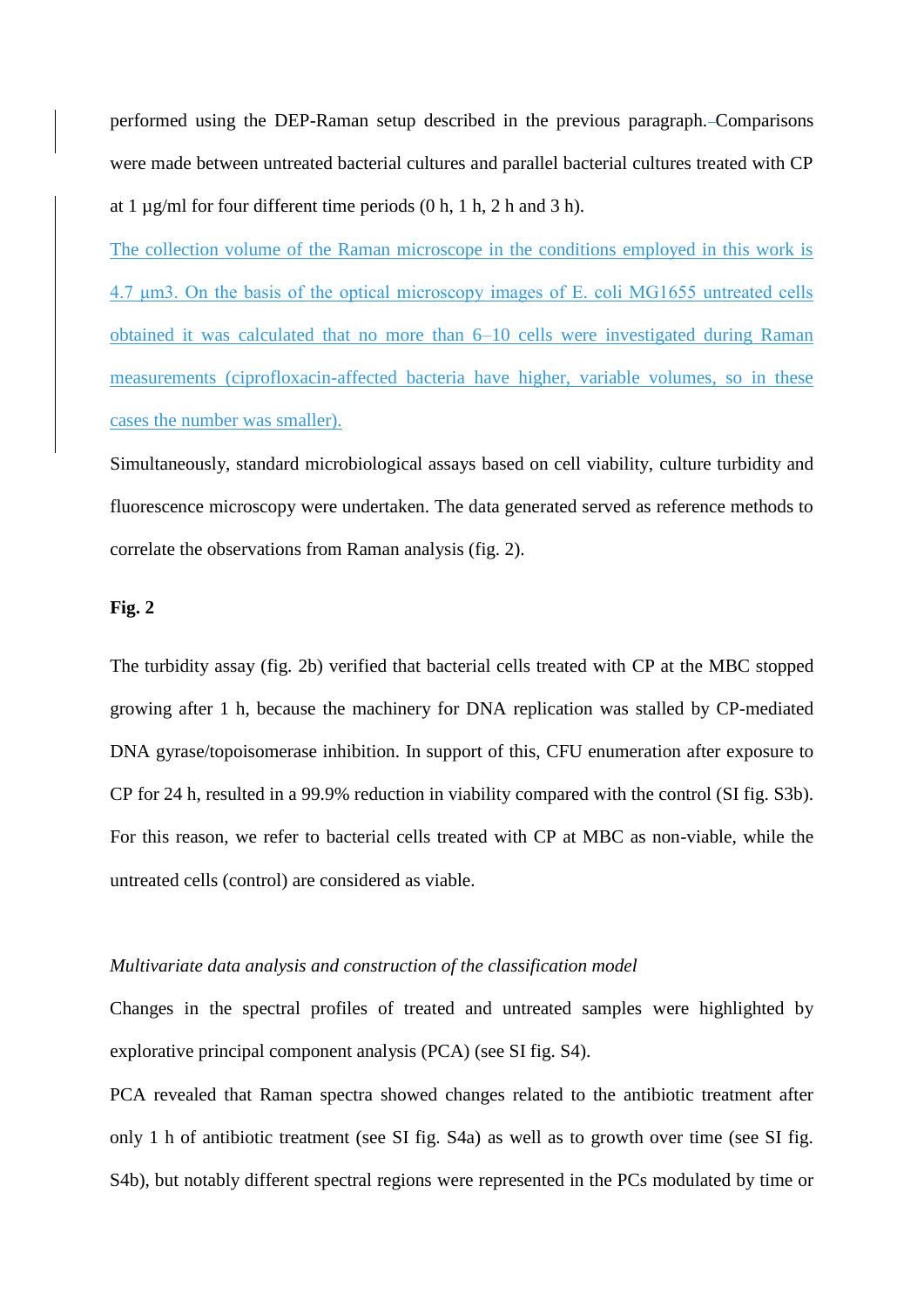performed using the DEP-Raman setup described in the previous paragraph. Comparisons were made between untreated bacterial cultures and parallel bacterial cultures treated with CP at 1  $\mu$ g/ml for four different time periods (0 h, 1 h, 2 h and 3 h).

The collection volume of the Raman microscope in the conditions employed in this work is 4.7 μm3. On the basis of the optical microscopy images of E. coli MG1655 untreated cells obtained it was calculated that no more than 6–10 cells were investigated during Raman measurements (ciprofloxacin-affected bacteria have higher, variable volumes, so in these cases the number was smaller).

Simultaneously, standard microbiological assays based on cell viability, culture turbidity and fluorescence microscopy were undertaken. The data generated served as reference methods to correlate the observations from Raman analysis (fig. 2).

## **Fig. 2**

The turbidity assay (fig. 2b) verified that bacterial cells treated with CP at the MBC stopped growing after 1 h, because the machinery for DNA replication was stalled by CP-mediated DNA gyrase/topoisomerase inhibition. In support of this, CFU enumeration after exposure to CP for 24 h, resulted in a 99.9% reduction in viability compared with the control (SI fig. S3b). For this reason, we refer to bacterial cells treated with CP at MBC as non-viable, while the untreated cells (control) are considered as viable.

#### *Multivariate data analysis and construction of the classification model*

Changes in the spectral profiles of treated and untreated samples were highlighted by explorative principal component analysis (PCA) (see SI fig. S4).

PCA revealed that Raman spectra showed changes related to the antibiotic treatment after only 1 h of antibiotic treatment (see SI fig. S4a) as well as to growth over time (see SI fig. S4b), but notably different spectral regions were represented in the PCs modulated by time or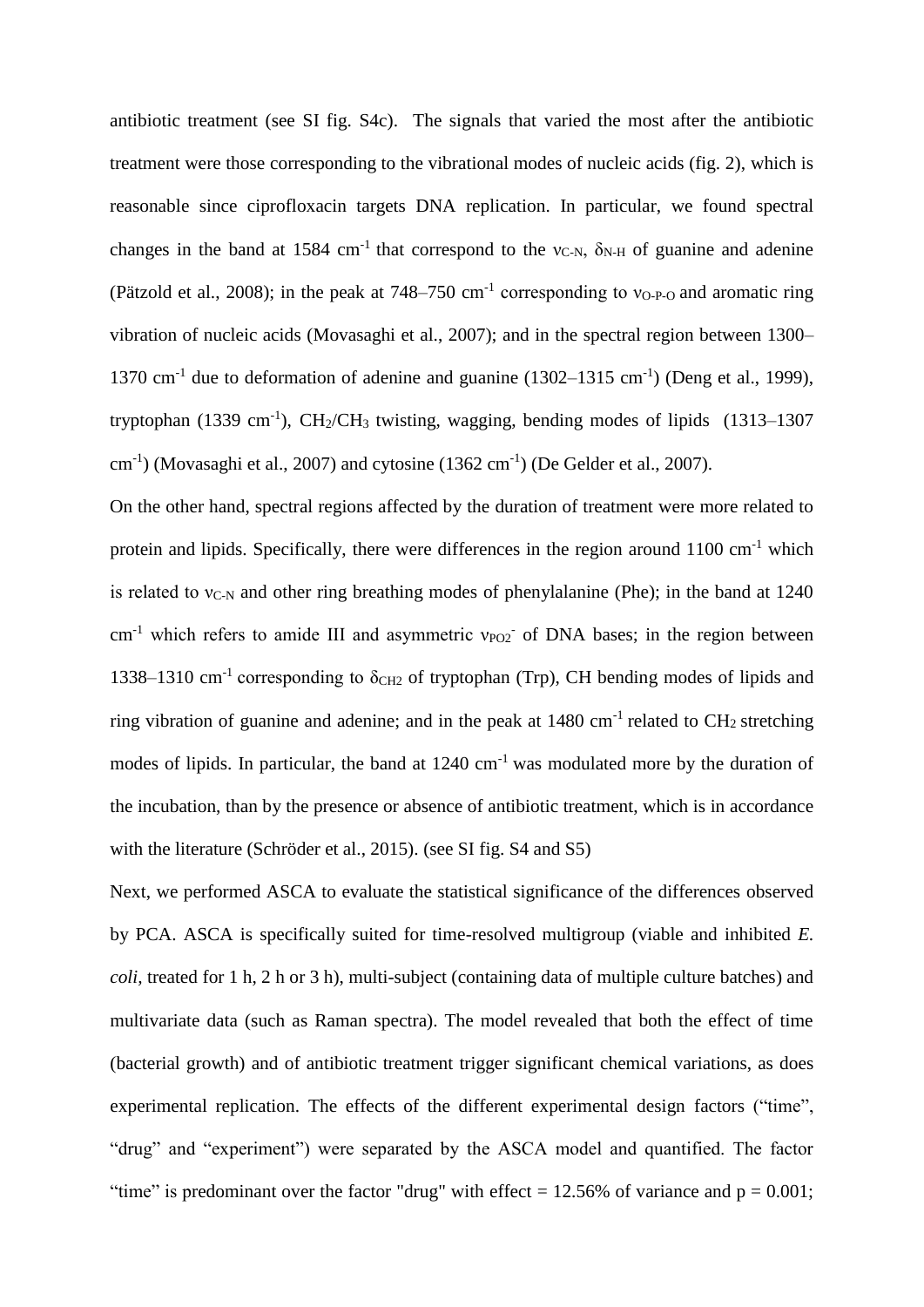antibiotic treatment (see SI fig. S4c). The signals that varied the most after the antibiotic treatment were those corresponding to the vibrational modes of nucleic acids (fig. 2), which is reasonable since ciprofloxacin targets DNA replication. In particular, we found spectral changes in the band at 1584 cm<sup>-1</sup> that correspond to the  $v_{C-N}$ ,  $\delta_{N-H}$  of guanine and adenine (Pätzold et al., 2008); in the peak at  $748-750$  cm<sup>-1</sup> corresponding to  $v<sub>0-P-0</sub>$  and aromatic ring vibration of nucleic acids (Movasaghi et al., 2007); and in the spectral region between 1300– 1370 cm<sup>-1</sup> due to deformation of adenine and guanine  $(1302-1315 \text{ cm}^{-1})$  (Deng et al., 1999), tryptophan  $(1339 \text{ cm}^{-1})$ , CH<sub>2</sub>/CH<sub>3</sub> twisting, wagging, bending modes of lipids  $(1313-1307)$  $\text{cm}^{-1}$ ) (Movasaghi et al., 2007) and cytosine (1362 cm<sup>-1</sup>) (De Gelder et al., 2007).

On the other hand, spectral regions affected by the duration of treatment were more related to protein and lipids. Specifically, there were differences in the region around 1100 cm<sup>-1</sup> which is related to  $v_{C-N}$  and other ring breathing modes of phenylalanine (Phe); in the band at 1240  $cm<sup>-1</sup>$  which refers to amide III and asymmetric  $v_{PO2}$  of DNA bases; in the region between 1338–1310 cm<sup>-1</sup> corresponding to  $\delta$ <sub>CH2</sub> of tryptophan (Trp), CH bending modes of lipids and ring vibration of guanine and adenine; and in the peak at  $1480 \text{ cm}^{-1}$  related to CH<sub>2</sub> stretching modes of lipids. In particular, the band at 1240 cm<sup>-1</sup> was modulated more by the duration of the incubation, than by the presence or absence of antibiotic treatment, which is in accordance with the literature (Schröder et al., 2015). (see SI fig. S4 and S5)

Next, we performed ASCA to evaluate the statistical significance of the differences observed by PCA. ASCA is specifically suited for time-resolved multigroup (viable and inhibited *E. coli,* treated for 1 h, 2 h or 3 h), multi-subject (containing data of multiple culture batches) and multivariate data (such as Raman spectra). The model revealed that both the effect of time (bacterial growth) and of antibiotic treatment trigger significant chemical variations, as does experimental replication. The effects of the different experimental design factors ("time", "drug" and "experiment") were separated by the ASCA model and quantified. The factor "time" is predominant over the factor "drug" with effect =  $12.56\%$  of variance and  $p = 0.001$ ;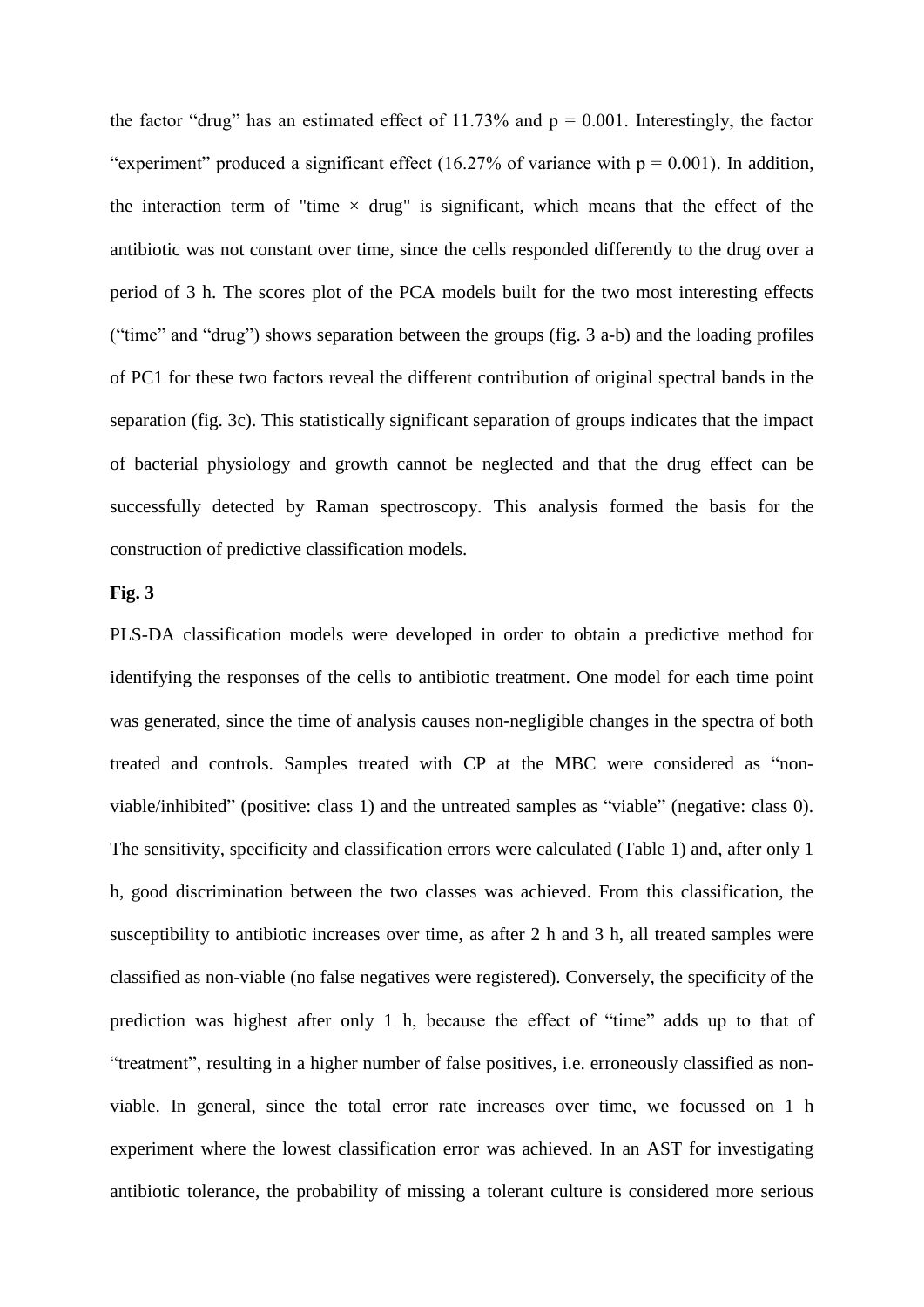the factor "drug" has an estimated effect of 11.73% and  $p = 0.001$ . Interestingly, the factor "experiment" produced a significant effect (16.27% of variance with  $p = 0.001$ ). In addition, the interaction term of "time  $\times$  drug" is significant, which means that the effect of the antibiotic was not constant over time, since the cells responded differently to the drug over a period of 3 h. The scores plot of the PCA models built for the two most interesting effects ("time" and "drug") shows separation between the groups (fig. 3 a-b) and the loading profiles of PC1 for these two factors reveal the different contribution of original spectral bands in the separation (fig. 3c). This statistically significant separation of groups indicates that the impact of bacterial physiology and growth cannot be neglected and that the drug effect can be successfully detected by Raman spectroscopy. This analysis formed the basis for the construction of predictive classification models.

#### **Fig. 3**

PLS-DA classification models were developed in order to obtain a predictive method for identifying the responses of the cells to antibiotic treatment. One model for each time point was generated, since the time of analysis causes non-negligible changes in the spectra of both treated and controls. Samples treated with CP at the MBC were considered as "nonviable/inhibited" (positive: class 1) and the untreated samples as "viable" (negative: class 0). The sensitivity, specificity and classification errors were calculated (Table 1) and, after only 1 h, good discrimination between the two classes was achieved. From this classification, the susceptibility to antibiotic increases over time, as after 2 h and 3 h, all treated samples were classified as non-viable (no false negatives were registered). Conversely, the specificity of the prediction was highest after only 1 h, because the effect of "time" adds up to that of "treatment", resulting in a higher number of false positives, i.e. erroneously classified as nonviable. In general, since the total error rate increases over time, we focussed on 1 h experiment where the lowest classification error was achieved. In an AST for investigating antibiotic tolerance, the probability of missing a tolerant culture is considered more serious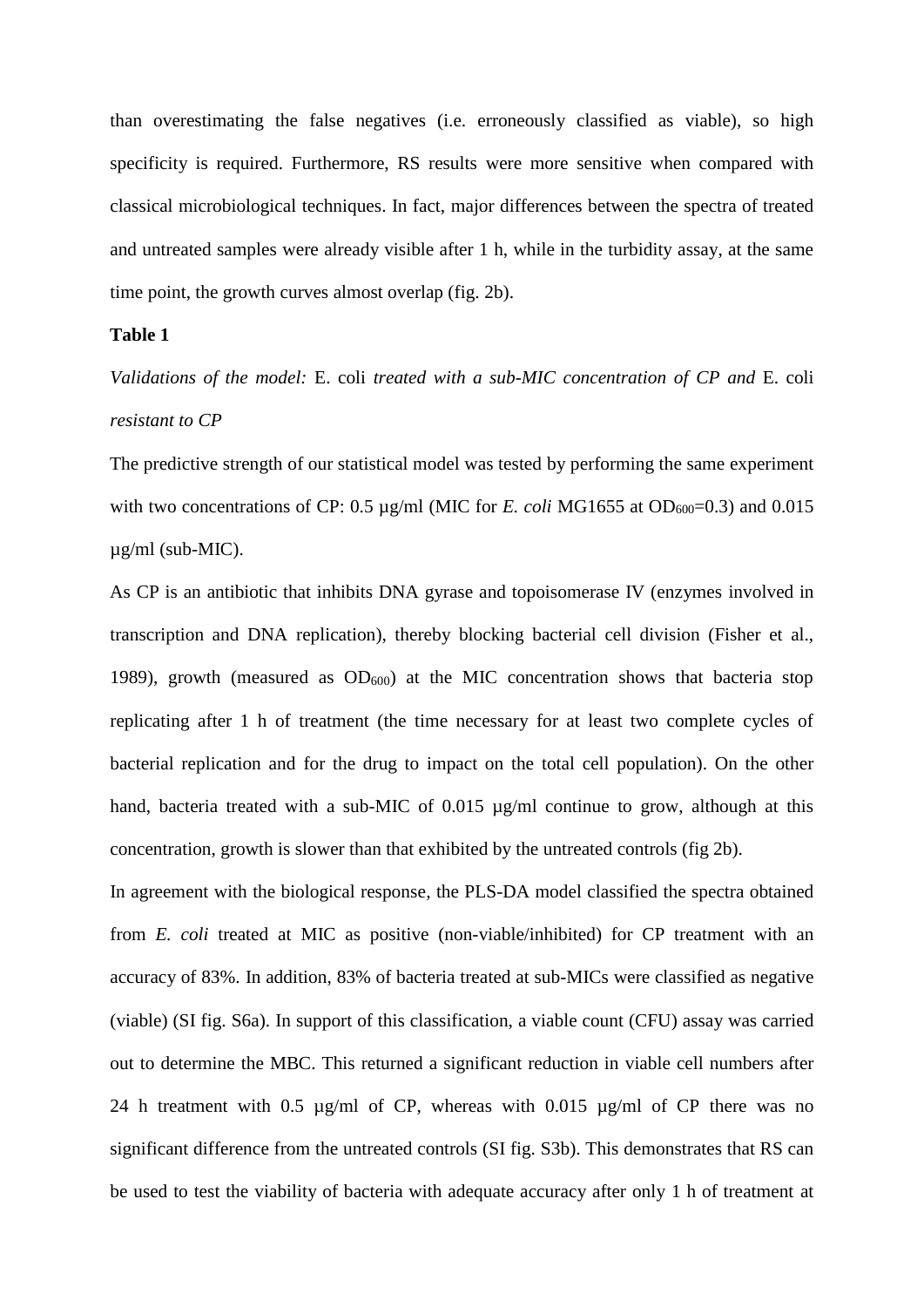than overestimating the false negatives (i.e. erroneously classified as viable), so high specificity is required. Furthermore, RS results were more sensitive when compared with classical microbiological techniques. In fact, major differences between the spectra of treated and untreated samples were already visible after 1 h, while in the turbidity assay, at the same time point, the growth curves almost overlap (fig. 2b).

## **Table 1**

*Validations of the model:* E. coli *treated with a sub-MIC concentration of CP and* E. coli *resistant to CP*

The predictive strength of our statistical model was tested by performing the same experiment with two concentrations of CP:  $0.5 \mu g/ml$  (MIC for *E. coli* MG1655 at OD<sub>600</sub>=0.3) and 0.015  $\mu$ g/ml (sub-MIC).

As CP is an antibiotic that inhibits DNA gyrase and topoisomerase IV (enzymes involved in transcription and DNA replication), thereby blocking bacterial cell division (Fisher et al., 1989), growth (measured as  $OD_{600}$ ) at the MIC concentration shows that bacteria stop replicating after 1 h of treatment (the time necessary for at least two complete cycles of bacterial replication and for the drug to impact on the total cell population). On the other hand, bacteria treated with a sub-MIC of 0.015 µg/ml continue to grow, although at this concentration, growth is slower than that exhibited by the untreated controls (fig 2b).

In agreement with the biological response, the PLS-DA model classified the spectra obtained from *E. coli* treated at MIC as positive (non-viable/inhibited) for CP treatment with an accuracy of 83%. In addition, 83% of bacteria treated at sub-MICs were classified as negative (viable) (SI fig. S6a). In support of this classification, a viable count (CFU) assay was carried out to determine the MBC. This returned a significant reduction in viable cell numbers after 24 h treatment with 0.5 µg/ml of CP, whereas with 0.015 µg/ml of CP there was no significant difference from the untreated controls (SI fig. S3b). This demonstrates that RS can be used to test the viability of bacteria with adequate accuracy after only 1 h of treatment at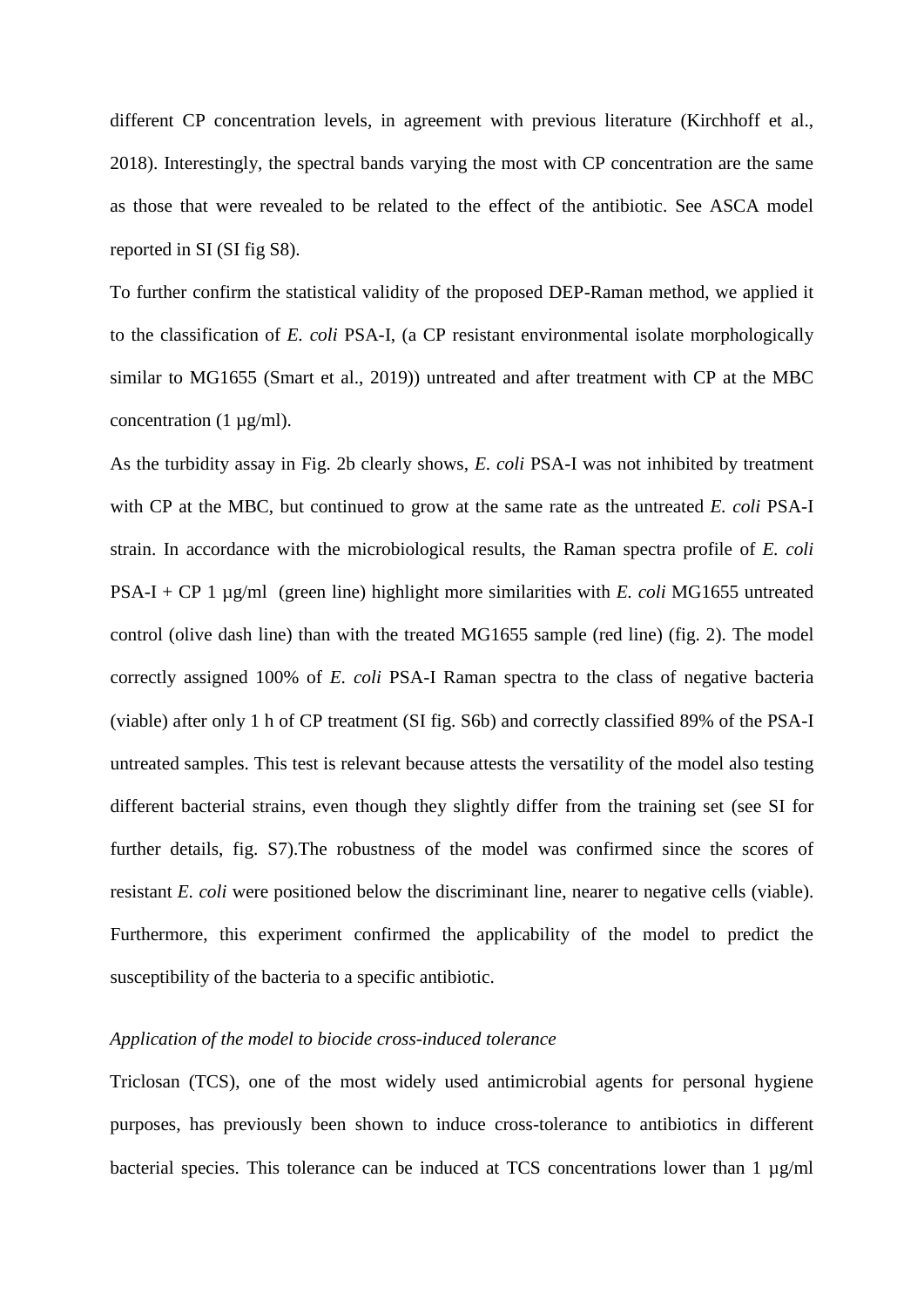different CP concentration levels, in agreement with previous literature (Kirchhoff et al., 2018). Interestingly, the spectral bands varying the most with CP concentration are the same as those that were revealed to be related to the effect of the antibiotic. See ASCA model reported in SI (SI fig S8).

To further confirm the statistical validity of the proposed DEP-Raman method, we applied it to the classification of *E. coli* PSA-I, (a CP resistant environmental isolate morphologically similar to MG1655 (Smart et al., 2019)) untreated and after treatment with CP at the MBC concentration  $(1 \mu g/ml)$ .

As the turbidity assay in Fig. 2b clearly shows, *E. coli* PSA-I was not inhibited by treatment with CP at the MBC, but continued to grow at the same rate as the untreated *E. coli* PSA-I strain. In accordance with the microbiological results, the Raman spectra profile of *E. coli* PSA-I + CP 1 µg/ml (green line) highlight more similarities with *E. coli* MG1655 untreated control (olive dash line) than with the treated MG1655 sample (red line) (fig. 2). The model correctly assigned 100% of *E. coli* PSA-I Raman spectra to the class of negative bacteria (viable) after only 1 h of CP treatment (SI fig. S6b) and correctly classified 89% of the PSA-I untreated samples. This test is relevant because attests the versatility of the model also testing different bacterial strains, even though they slightly differ from the training set (see SI for further details, fig. S7).The robustness of the model was confirmed since the scores of resistant *E. coli* were positioned below the discriminant line, nearer to negative cells (viable). Furthermore, this experiment confirmed the applicability of the model to predict the susceptibility of the bacteria to a specific antibiotic.

#### *Application of the model to biocide cross-induced tolerance*

Triclosan (TCS), one of the most widely used antimicrobial agents for personal hygiene purposes, has previously been shown to induce cross-tolerance to antibiotics in different bacterial species. This tolerance can be induced at TCS concentrations lower than 1  $\mu$ g/ml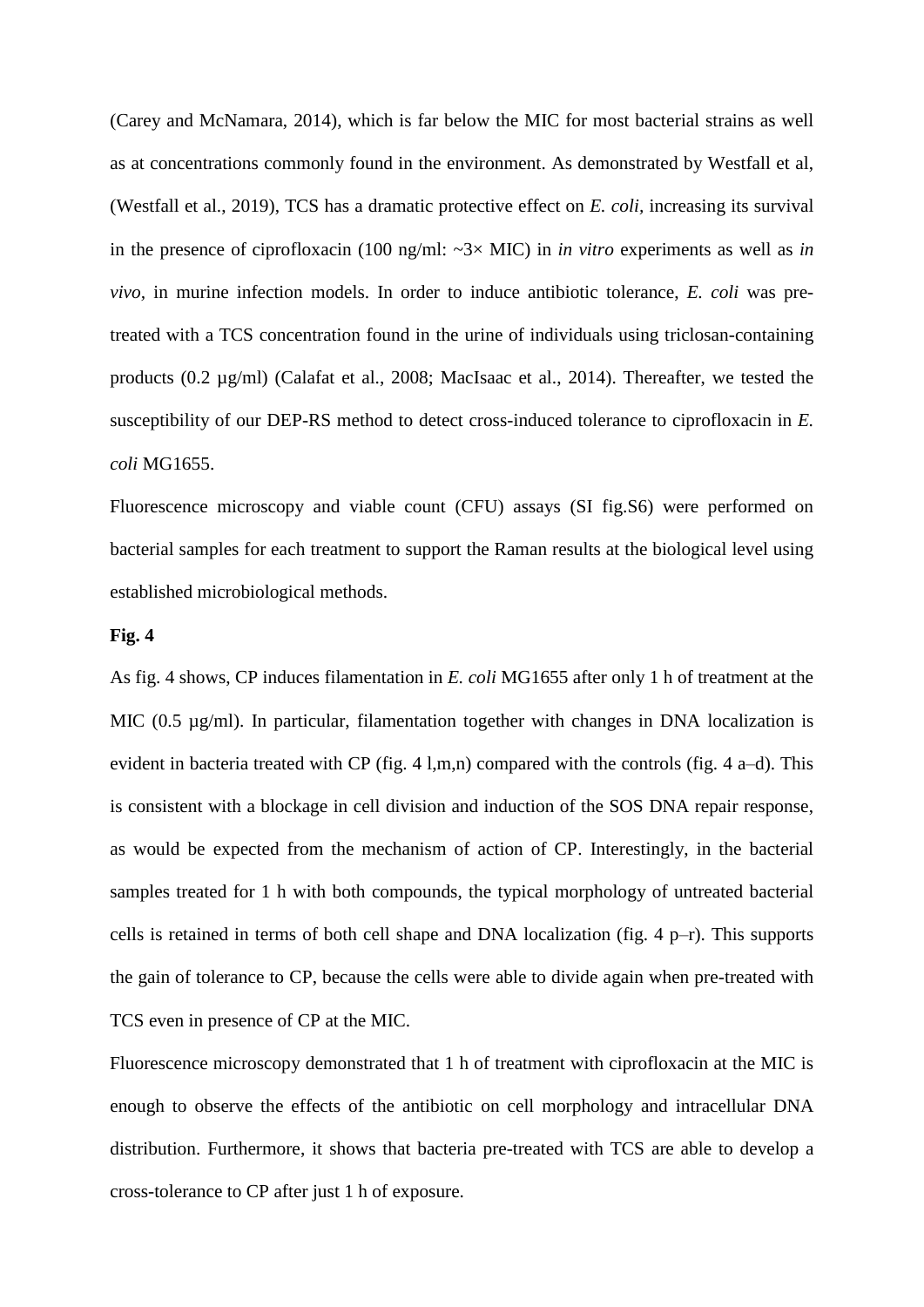(Carey and McNamara, 2014), which is far below the MIC for most bacterial strains as well as at concentrations commonly found in the environment. As demonstrated by Westfall et al, (Westfall et al., 2019), TCS has a dramatic protective effect on *E. coli,* increasing its survival in the presence of ciprofloxacin (100 ng/ml: ~3× MIC) in *in vitro* experiments as well as *in vivo,* in murine infection models. In order to induce antibiotic tolerance, *E. coli* was pretreated with a TCS concentration found in the urine of individuals using triclosan-containing products (0.2 µg/ml) (Calafat et al., 2008; MacIsaac et al., 2014). Thereafter, we tested the susceptibility of our DEP-RS method to detect cross-induced tolerance to ciprofloxacin in *E. coli* MG1655.

Fluorescence microscopy and viable count (CFU) assays (SI fig.S6) were performed on bacterial samples for each treatment to support the Raman results at the biological level using established microbiological methods.

#### **Fig. 4**

As fig. 4 shows, CP induces filamentation in *E. coli* MG1655 after only 1 h of treatment at the MIC (0.5  $\mu$ g/ml). In particular, filamentation together with changes in DNA localization is evident in bacteria treated with CP (fig. 4 l,m,n) compared with the controls (fig. 4 a–d). This is consistent with a blockage in cell division and induction of the SOS DNA repair response, as would be expected from the mechanism of action of CP. Interestingly, in the bacterial samples treated for 1 h with both compounds, the typical morphology of untreated bacterial cells is retained in terms of both cell shape and DNA localization (fig. 4 p–r). This supports the gain of tolerance to CP, because the cells were able to divide again when pre-treated with TCS even in presence of CP at the MIC.

Fluorescence microscopy demonstrated that 1 h of treatment with ciprofloxacin at the MIC is enough to observe the effects of the antibiotic on cell morphology and intracellular DNA distribution. Furthermore, it shows that bacteria pre-treated with TCS are able to develop a cross-tolerance to CP after just 1 h of exposure.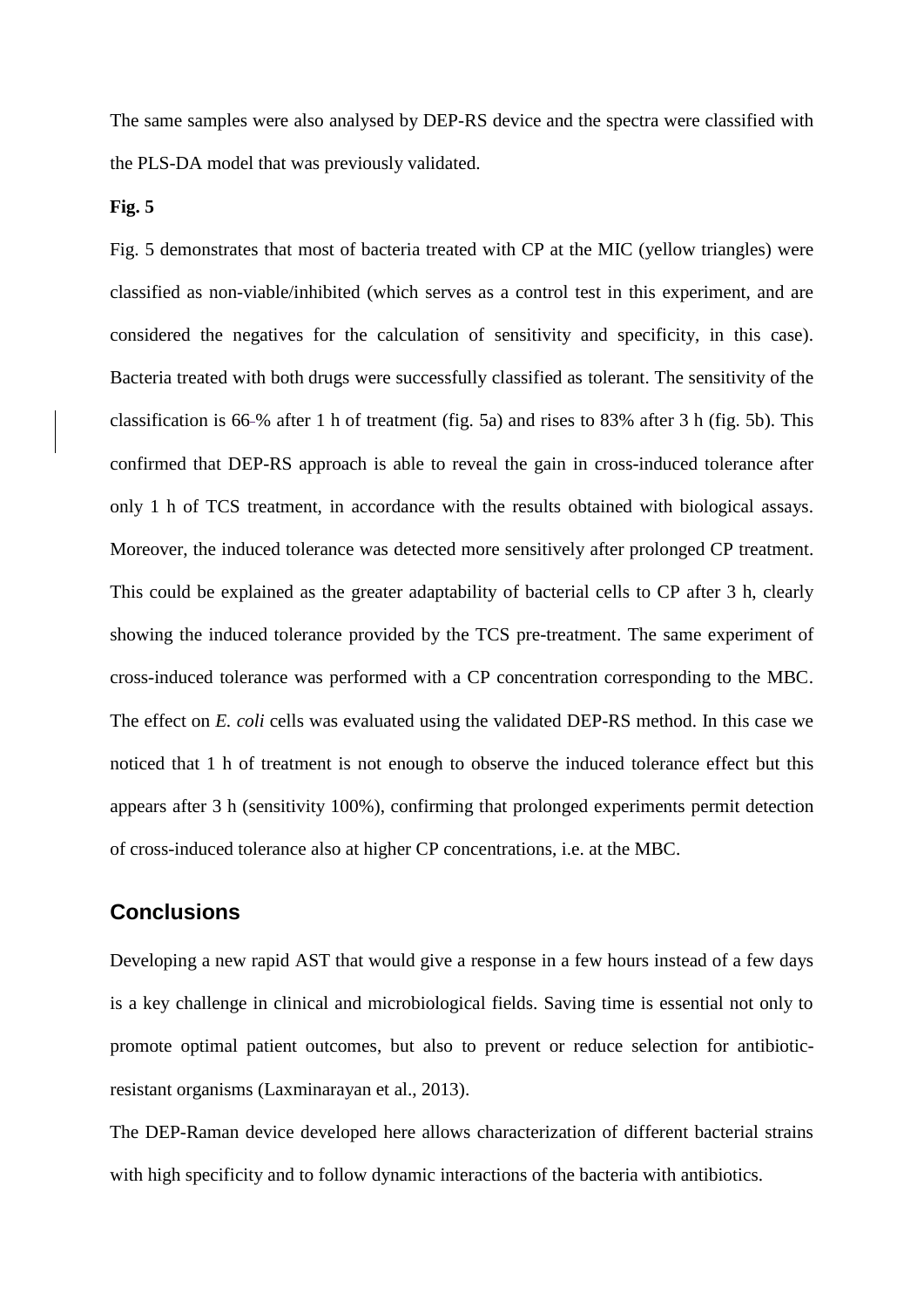The same samples were also analysed by DEP-RS device and the spectra were classified with the PLS-DA model that was previously validated.

#### **Fig. 5**

Fig. 5 demonstrates that most of bacteria treated with CP at the MIC (yellow triangles) were classified as non-viable/inhibited (which serves as a control test in this experiment, and are considered the negatives for the calculation of sensitivity and specificity, in this case). Bacteria treated with both drugs were successfully classified as tolerant. The sensitivity of the classification is 66 % after 1 h of treatment (fig. 5a) and rises to 83% after 3 h (fig. 5b). This confirmed that DEP-RS approach is able to reveal the gain in cross-induced tolerance after only 1 h of TCS treatment, in accordance with the results obtained with biological assays. Moreover, the induced tolerance was detected more sensitively after prolonged CP treatment. This could be explained as the greater adaptability of bacterial cells to CP after 3 h, clearly showing the induced tolerance provided by the TCS pre-treatment. The same experiment of cross-induced tolerance was performed with a CP concentration corresponding to the MBC. The effect on *E. coli* cells was evaluated using the validated DEP-RS method. In this case we noticed that 1 h of treatment is not enough to observe the induced tolerance effect but this appears after 3 h (sensitivity 100%), confirming that prolonged experiments permit detection of cross-induced tolerance also at higher CP concentrations, i.e. at the MBC.

# **Conclusions**

Developing a new rapid AST that would give a response in a few hours instead of a few days is a key challenge in clinical and microbiological fields. Saving time is essential not only to promote optimal patient outcomes, but also to prevent or reduce selection for antibioticresistant organisms (Laxminarayan et al., 2013).

The DEP-Raman device developed here allows characterization of different bacterial strains with high specificity and to follow dynamic interactions of the bacteria with antibiotics.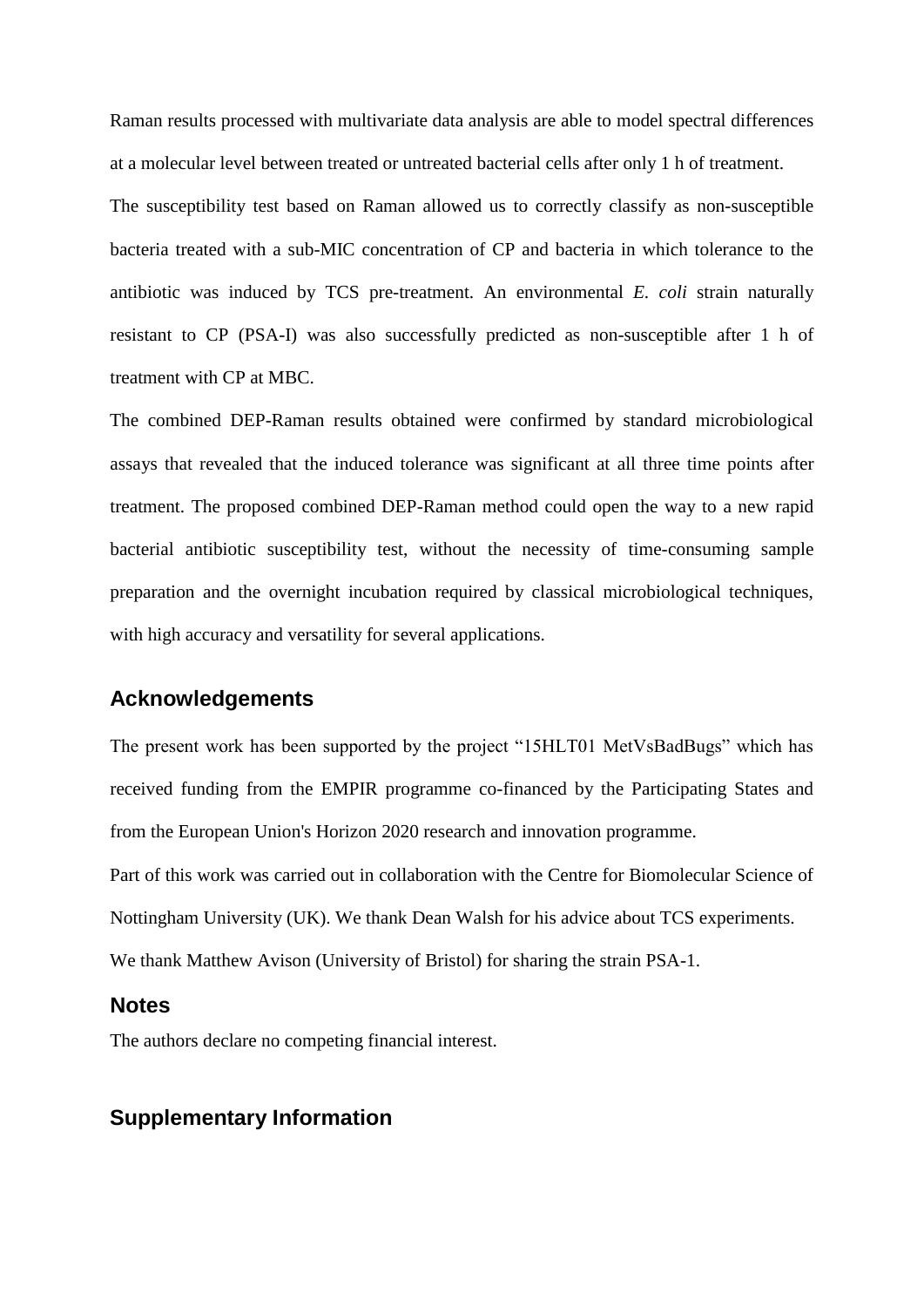Raman results processed with multivariate data analysis are able to model spectral differences at a molecular level between treated or untreated bacterial cells after only 1 h of treatment. The susceptibility test based on Raman allowed us to correctly classify as non-susceptible bacteria treated with a sub-MIC concentration of CP and bacteria in which tolerance to the antibiotic was induced by TCS pre-treatment. An environmental *E. coli* strain naturally resistant to CP (PSA-I) was also successfully predicted as non-susceptible after 1 h of treatment with CP at MBC.

The combined DEP-Raman results obtained were confirmed by standard microbiological assays that revealed that the induced tolerance was significant at all three time points after treatment. The proposed combined DEP-Raman method could open the way to a new rapid bacterial antibiotic susceptibility test, without the necessity of time-consuming sample preparation and the overnight incubation required by classical microbiological techniques, with high accuracy and versatility for several applications.

# **Acknowledgements**

The present work has been supported by the project "15HLT01 MetVsBadBugs" which has received funding from the EMPIR programme co-financed by the Participating States and from the European Union's Horizon 2020 research and innovation programme.

Part of this work was carried out in collaboration with the Centre for Biomolecular Science of Nottingham University (UK). We thank Dean Walsh for his advice about TCS experiments. We thank Matthew Avison (University of Bristol) for sharing the strain PSA-1.

# **Notes**

The authors declare no competing financial interest.

## **Supplementary Information**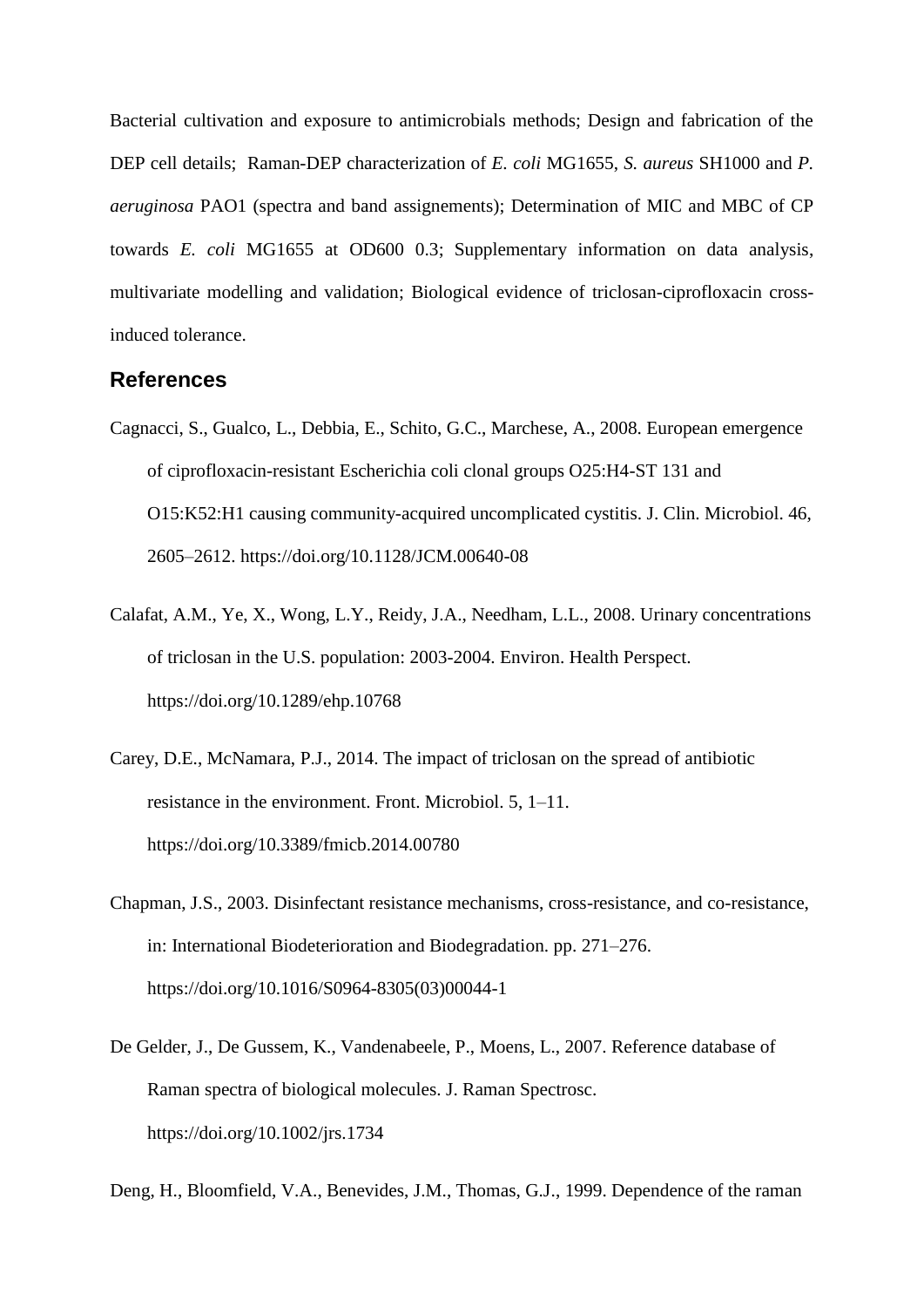Bacterial cultivation and exposure to antimicrobials methods; Design and fabrication of the DEP cell details; Raman-DEP characterization of *E. coli* MG1655, *S. aureus* SH1000 and *P. aeruginosa* PAO1 (spectra and band assignements); Determination of MIC and MBC of CP towards *E. coli* MG1655 at OD600 0.3; Supplementary information on data analysis, multivariate modelling and validation; Biological evidence of triclosan-ciprofloxacin crossinduced tolerance.

# **References**

- Cagnacci, S., Gualco, L., Debbia, E., Schito, G.C., Marchese, A., 2008. European emergence of ciprofloxacin-resistant Escherichia coli clonal groups O25:H4-ST 131 and O15:K52:H1 causing community-acquired uncomplicated cystitis. J. Clin. Microbiol. 46, 2605–2612. https://doi.org/10.1128/JCM.00640-08
- Calafat, A.M., Ye, X., Wong, L.Y., Reidy, J.A., Needham, L.L., 2008. Urinary concentrations of triclosan in the U.S. population: 2003-2004. Environ. Health Perspect. https://doi.org/10.1289/ehp.10768
- Carey, D.E., McNamara, P.J., 2014. The impact of triclosan on the spread of antibiotic resistance in the environment. Front. Microbiol. 5, 1–11. https://doi.org/10.3389/fmicb.2014.00780
- Chapman, J.S., 2003. Disinfectant resistance mechanisms, cross-resistance, and co-resistance, in: International Biodeterioration and Biodegradation. pp. 271–276. https://doi.org/10.1016/S0964-8305(03)00044-1
- De Gelder, J., De Gussem, K., Vandenabeele, P., Moens, L., 2007. Reference database of Raman spectra of biological molecules. J. Raman Spectrosc. https://doi.org/10.1002/jrs.1734

Deng, H., Bloomfield, V.A., Benevides, J.M., Thomas, G.J., 1999. Dependence of the raman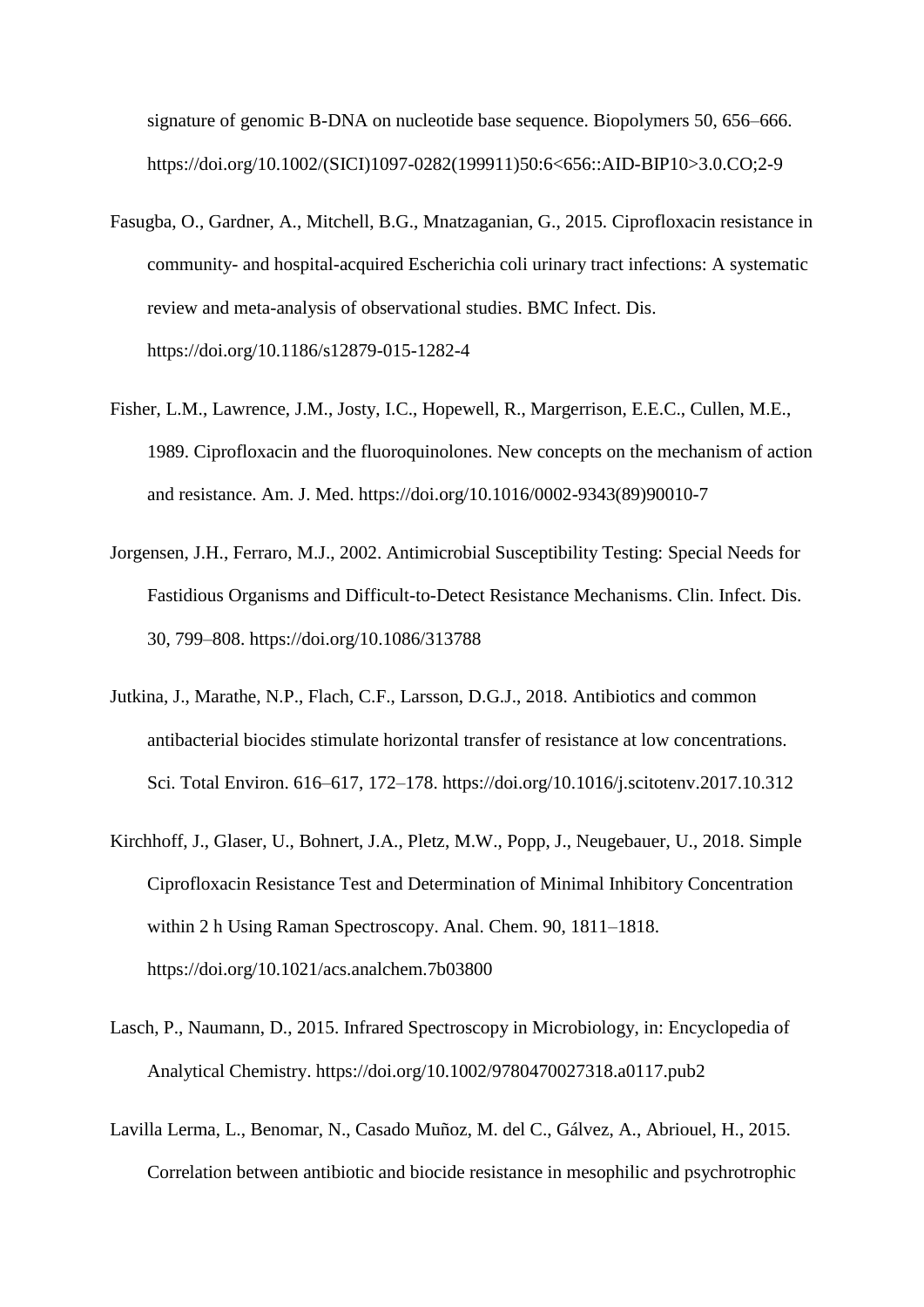signature of genomic B-DNA on nucleotide base sequence. Biopolymers 50, 656–666. https://doi.org/10.1002/(SICI)1097-0282(199911)50:6<656::AID-BIP10>3.0.CO;2-9

- Fasugba, O., Gardner, A., Mitchell, B.G., Mnatzaganian, G., 2015. Ciprofloxacin resistance in community- and hospital-acquired Escherichia coli urinary tract infections: A systematic review and meta-analysis of observational studies. BMC Infect. Dis. https://doi.org/10.1186/s12879-015-1282-4
- Fisher, L.M., Lawrence, J.M., Josty, I.C., Hopewell, R., Margerrison, E.E.C., Cullen, M.E., 1989. Ciprofloxacin and the fluoroquinolones. New concepts on the mechanism of action and resistance. Am. J. Med. https://doi.org/10.1016/0002-9343(89)90010-7
- Jorgensen, J.H., Ferraro, M.J., 2002. Antimicrobial Susceptibility Testing: Special Needs for Fastidious Organisms and Difficult-to-Detect Resistance Mechanisms. Clin. Infect. Dis. 30, 799–808. https://doi.org/10.1086/313788
- Jutkina, J., Marathe, N.P., Flach, C.F., Larsson, D.G.J., 2018. Antibiotics and common antibacterial biocides stimulate horizontal transfer of resistance at low concentrations. Sci. Total Environ. 616–617, 172–178. https://doi.org/10.1016/j.scitotenv.2017.10.312
- Kirchhoff, J., Glaser, U., Bohnert, J.A., Pletz, M.W., Popp, J., Neugebauer, U., 2018. Simple Ciprofloxacin Resistance Test and Determination of Minimal Inhibitory Concentration within 2 h Using Raman Spectroscopy. Anal. Chem. 90, 1811–1818. https://doi.org/10.1021/acs.analchem.7b03800
- Lasch, P., Naumann, D., 2015. Infrared Spectroscopy in Microbiology, in: Encyclopedia of Analytical Chemistry. https://doi.org/10.1002/9780470027318.a0117.pub2
- Lavilla Lerma, L., Benomar, N., Casado Muñoz, M. del C., Gálvez, A., Abriouel, H., 2015. Correlation between antibiotic and biocide resistance in mesophilic and psychrotrophic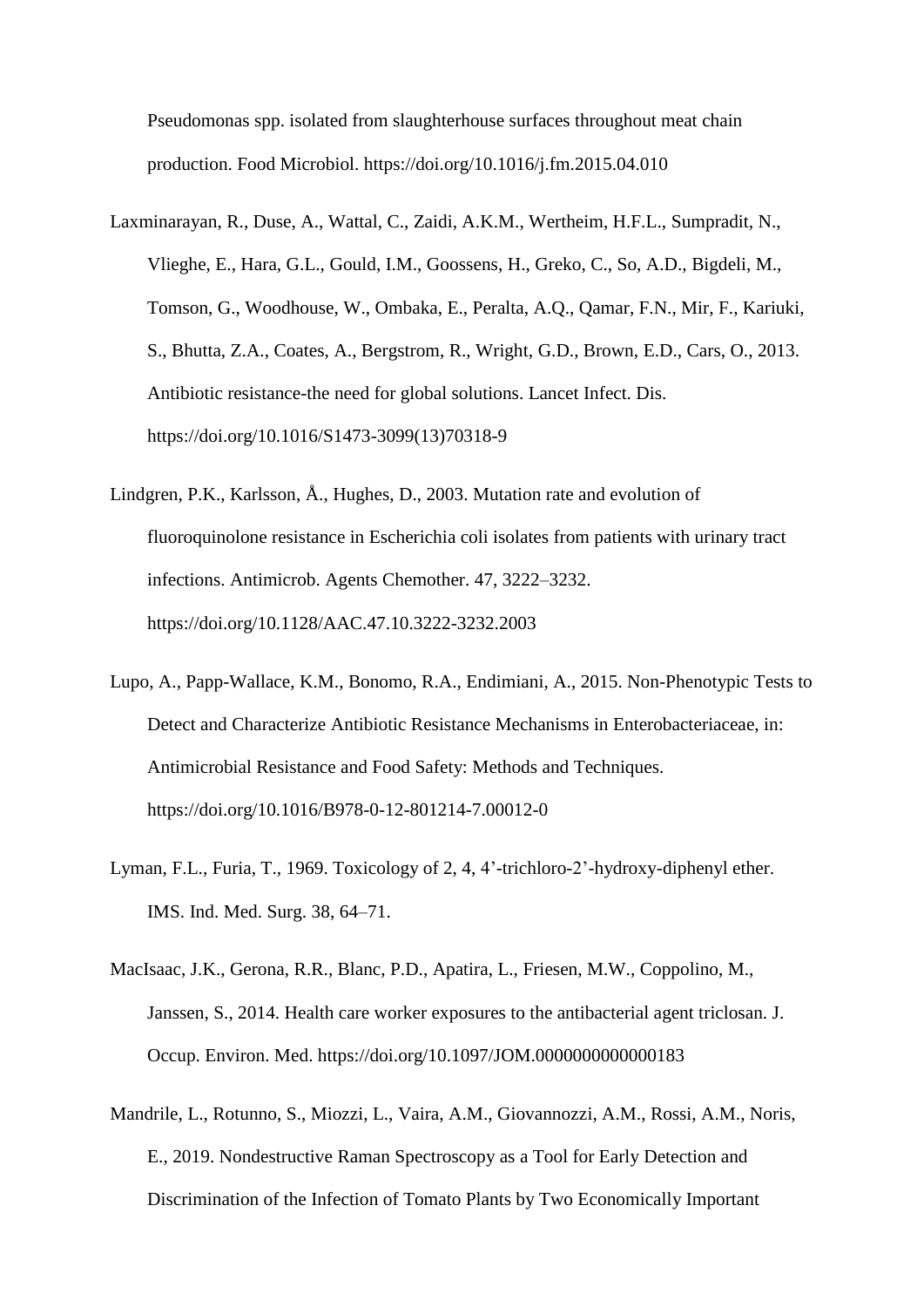Pseudomonas spp. isolated from slaughterhouse surfaces throughout meat chain production. Food Microbiol. https://doi.org/10.1016/j.fm.2015.04.010

- Laxminarayan, R., Duse, A., Wattal, C., Zaidi, A.K.M., Wertheim, H.F.L., Sumpradit, N., Vlieghe, E., Hara, G.L., Gould, I.M., Goossens, H., Greko, C., So, A.D., Bigdeli, M., Tomson, G., Woodhouse, W., Ombaka, E., Peralta, A.Q., Qamar, F.N., Mir, F., Kariuki, S., Bhutta, Z.A., Coates, A., Bergstrom, R., Wright, G.D., Brown, E.D., Cars, O., 2013. Antibiotic resistance-the need for global solutions. Lancet Infect. Dis. https://doi.org/10.1016/S1473-3099(13)70318-9
- Lindgren, P.K., Karlsson, Å., Hughes, D., 2003. Mutation rate and evolution of fluoroquinolone resistance in Escherichia coli isolates from patients with urinary tract infections. Antimicrob. Agents Chemother. 47, 3222–3232. https://doi.org/10.1128/AAC.47.10.3222-3232.2003
- Lupo, A., Papp-Wallace, K.M., Bonomo, R.A., Endimiani, A., 2015. Non-Phenotypic Tests to Detect and Characterize Antibiotic Resistance Mechanisms in Enterobacteriaceae, in: Antimicrobial Resistance and Food Safety: Methods and Techniques. https://doi.org/10.1016/B978-0-12-801214-7.00012-0
- Lyman, F.L., Furia, T., 1969. Toxicology of 2, 4, 4'-trichloro-2'-hydroxy-diphenyl ether. IMS. Ind. Med. Surg. 38, 64–71.
- MacIsaac, J.K., Gerona, R.R., Blanc, P.D., Apatira, L., Friesen, M.W., Coppolino, M., Janssen, S., 2014. Health care worker exposures to the antibacterial agent triclosan. J. Occup. Environ. Med. https://doi.org/10.1097/JOM.0000000000000183
- Mandrile, L., Rotunno, S., Miozzi, L., Vaira, A.M., Giovannozzi, A.M., Rossi, A.M., Noris, E., 2019. Nondestructive Raman Spectroscopy as a Tool for Early Detection and Discrimination of the Infection of Tomato Plants by Two Economically Important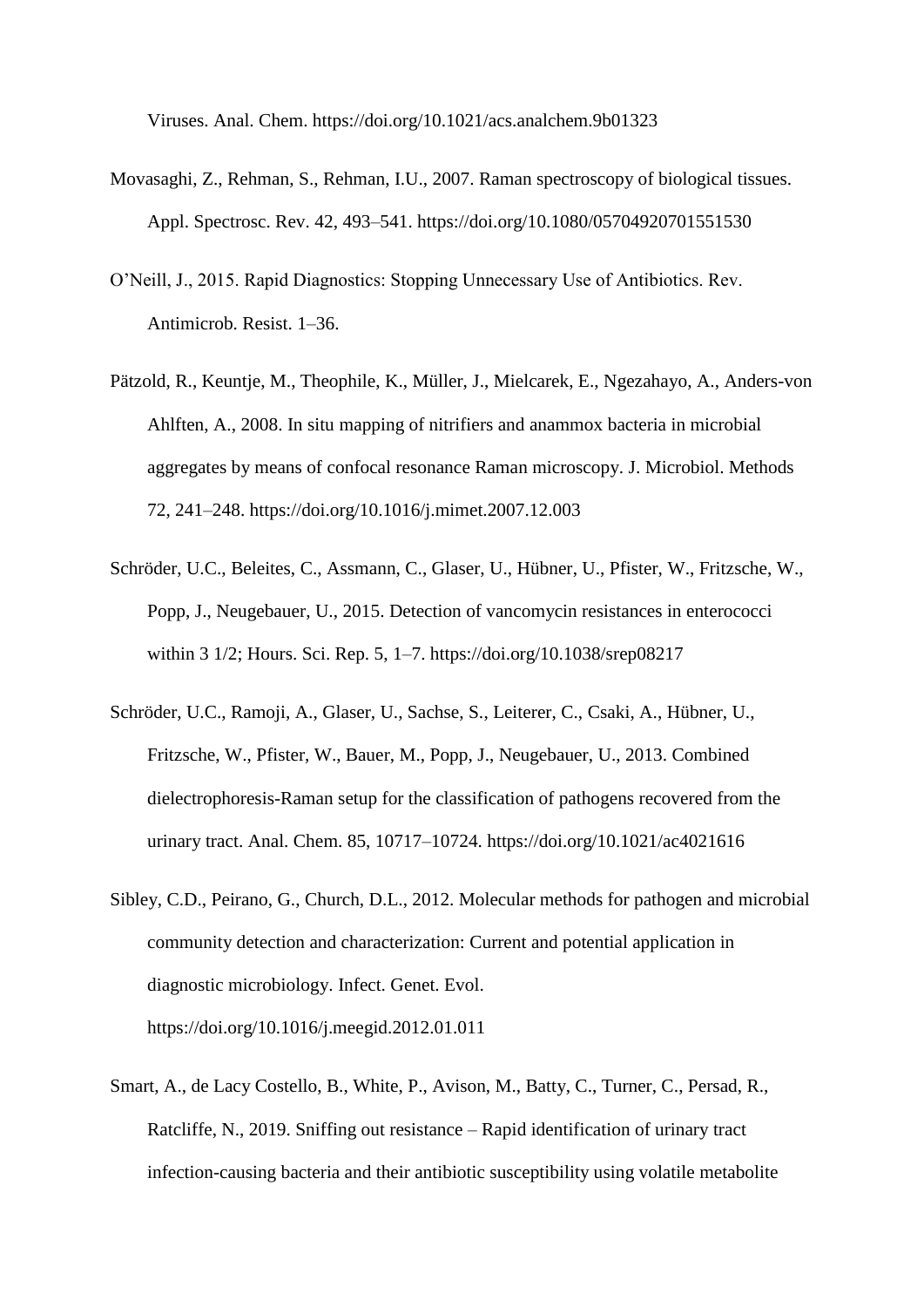Viruses. Anal. Chem. https://doi.org/10.1021/acs.analchem.9b01323

- Movasaghi, Z., Rehman, S., Rehman, I.U., 2007. Raman spectroscopy of biological tissues. Appl. Spectrosc. Rev. 42, 493–541. https://doi.org/10.1080/05704920701551530
- O'Neill, J., 2015. Rapid Diagnostics: Stopping Unnecessary Use of Antibiotics. Rev. Antimicrob. Resist. 1–36.
- Pätzold, R., Keuntje, M., Theophile, K., Müller, J., Mielcarek, E., Ngezahayo, A., Anders-von Ahlften, A., 2008. In situ mapping of nitrifiers and anammox bacteria in microbial aggregates by means of confocal resonance Raman microscopy. J. Microbiol. Methods 72, 241–248. https://doi.org/10.1016/j.mimet.2007.12.003
- Schröder, U.C., Beleites, C., Assmann, C., Glaser, U., Hübner, U., Pfister, W., Fritzsche, W., Popp, J., Neugebauer, U., 2015. Detection of vancomycin resistances in enterococci within 3 1/2; Hours. Sci. Rep. 5, 1–7. https://doi.org/10.1038/srep08217
- Schröder, U.C., Ramoji, A., Glaser, U., Sachse, S., Leiterer, C., Csaki, A., Hübner, U., Fritzsche, W., Pfister, W., Bauer, M., Popp, J., Neugebauer, U., 2013. Combined dielectrophoresis-Raman setup for the classification of pathogens recovered from the urinary tract. Anal. Chem. 85, 10717–10724. https://doi.org/10.1021/ac4021616
- Sibley, C.D., Peirano, G., Church, D.L., 2012. Molecular methods for pathogen and microbial community detection and characterization: Current and potential application in diagnostic microbiology. Infect. Genet. Evol. https://doi.org/10.1016/j.meegid.2012.01.011
- Smart, A., de Lacy Costello, B., White, P., Avison, M., Batty, C., Turner, C., Persad, R., Ratcliffe, N., 2019. Sniffing out resistance – Rapid identification of urinary tract infection-causing bacteria and their antibiotic susceptibility using volatile metabolite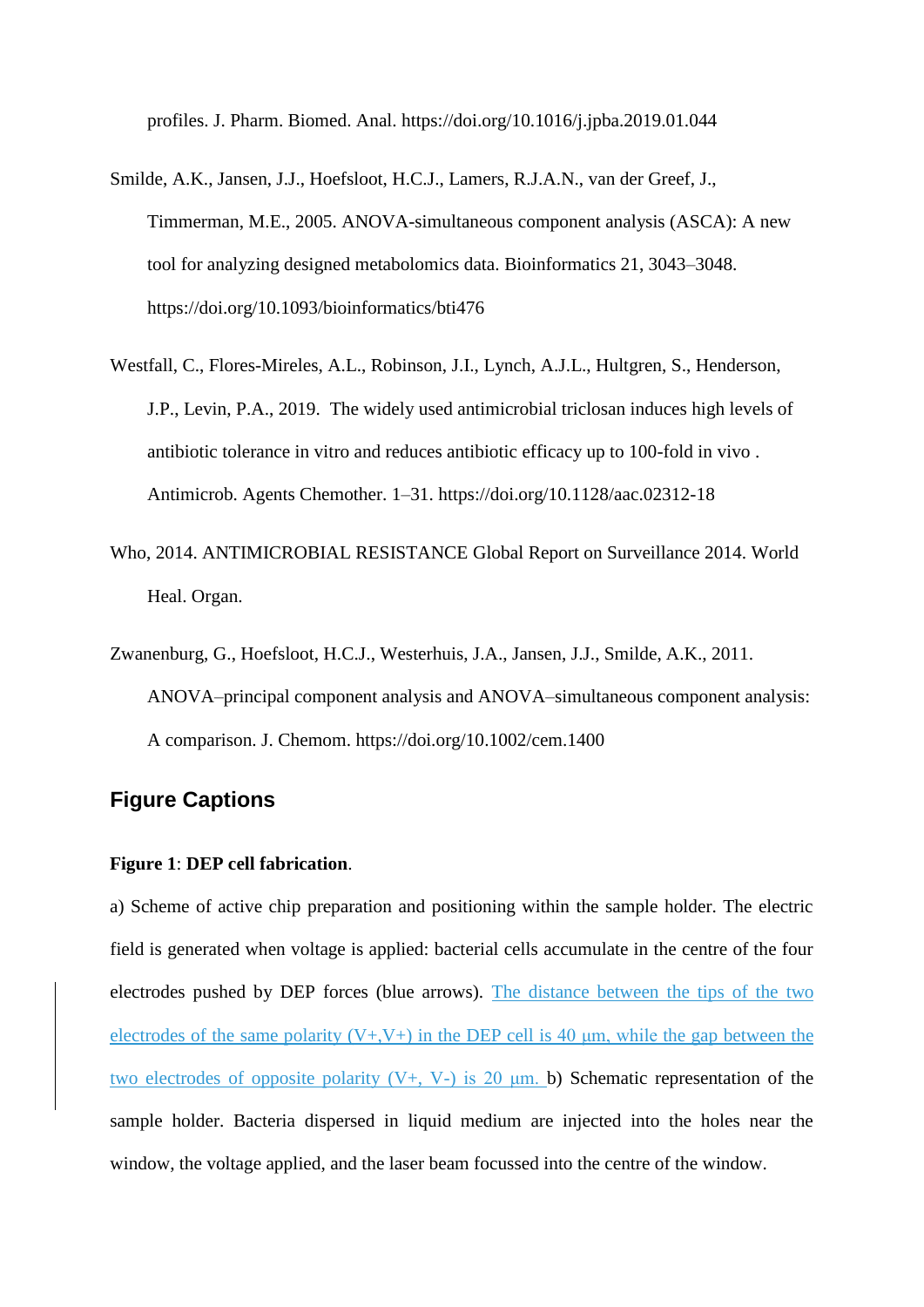profiles. J. Pharm. Biomed. Anal. https://doi.org/10.1016/j.jpba.2019.01.044

- Smilde, A.K., Jansen, J.J., Hoefsloot, H.C.J., Lamers, R.J.A.N., van der Greef, J., Timmerman, M.E., 2005. ANOVA-simultaneous component analysis (ASCA): A new tool for analyzing designed metabolomics data. Bioinformatics 21, 3043–3048. https://doi.org/10.1093/bioinformatics/bti476
- Westfall, C., Flores-Mireles, A.L., Robinson, J.I., Lynch, A.J.L., Hultgren, S., Henderson, J.P., Levin, P.A., 2019. The widely used antimicrobial triclosan induces high levels of antibiotic tolerance in vitro and reduces antibiotic efficacy up to 100-fold in vivo . Antimicrob. Agents Chemother. 1–31. https://doi.org/10.1128/aac.02312-18
- Who, 2014. ANTIMICROBIAL RESISTANCE Global Report on Surveillance 2014. World Heal. Organ.
- Zwanenburg, G., Hoefsloot, H.C.J., Westerhuis, J.A., Jansen, J.J., Smilde, A.K., 2011. ANOVA–principal component analysis and ANOVA–simultaneous component analysis: A comparison. J. Chemom. https://doi.org/10.1002/cem.1400

# **Figure Captions**

#### **Figure 1**: **DEP cell fabrication**.

a) Scheme of active chip preparation and positioning within the sample holder. The electric field is generated when voltage is applied: bacterial cells accumulate in the centre of the four electrodes pushed by DEP forces (blue arrows). The distance between the tips of the two electrodes of the same polarity  $(V+, V+)$  in the DEP cell is 40  $\mu$ m, while the gap between the two electrodes of opposite polarity  $(V+, V-)$  is 20  $\mu$ m. b) Schematic representation of the sample holder. Bacteria dispersed in liquid medium are injected into the holes near the window, the voltage applied, and the laser beam focussed into the centre of the window.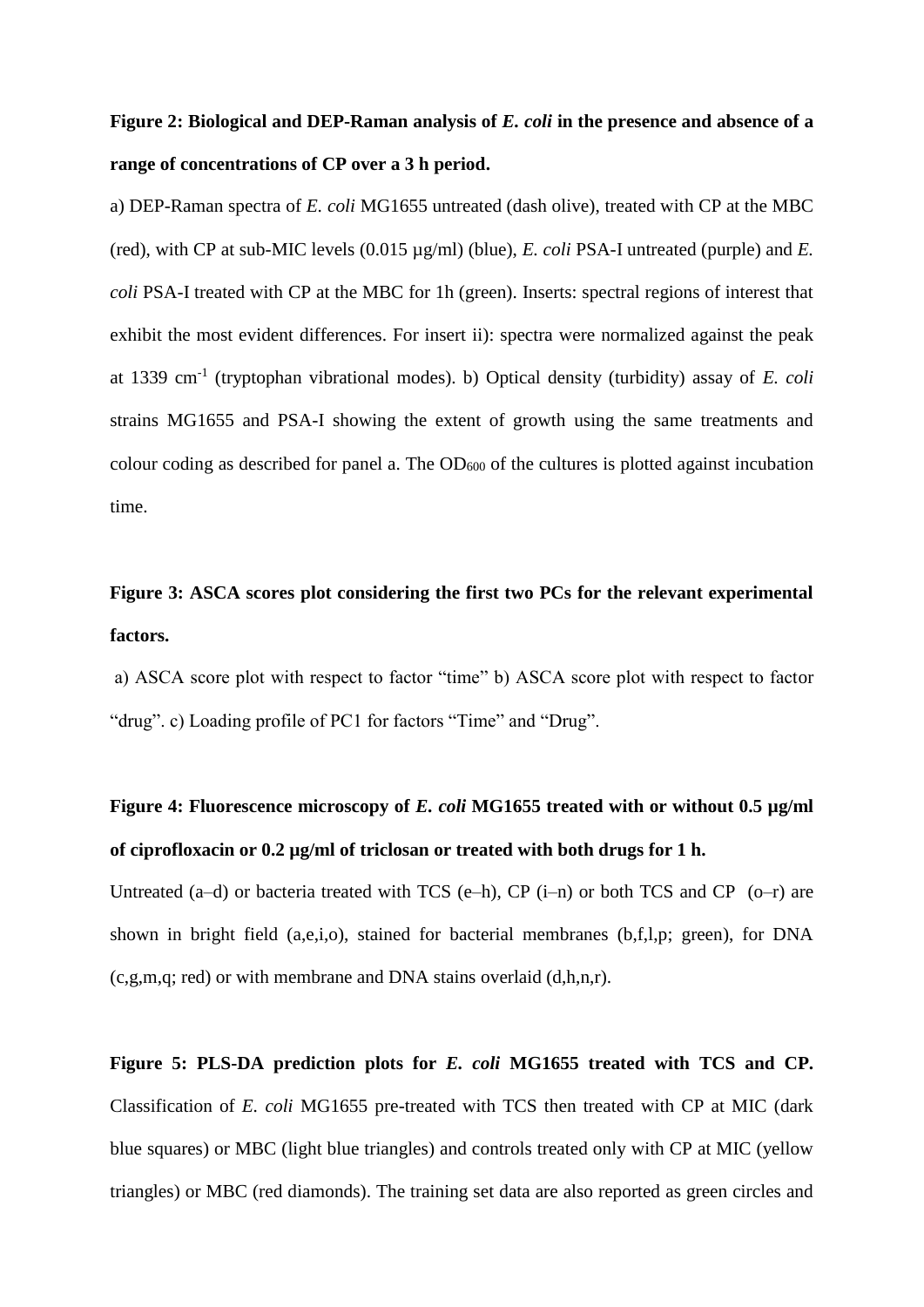# **Figure 2: Biological and DEP-Raman analysis of** *E. coli* **in the presence and absence of a range of concentrations of CP over a 3 h period.**

a) DEP-Raman spectra of *E. coli* MG1655 untreated (dash olive), treated with CP at the MBC (red), with CP at sub-MIC levels (0.015 µg/ml) (blue), *E. coli* PSA-I untreated (purple) and *E. coli* PSA-I treated with CP at the MBC for 1h (green). Inserts: spectral regions of interest that exhibit the most evident differences. For insert ii): spectra were normalized against the peak at 1339 cm-1 (tryptophan vibrational modes). b) Optical density (turbidity) assay of *E. coli*  strains MG1655 and PSA-I showing the extent of growth using the same treatments and colour coding as described for panel a. The  $OD_{600}$  of the cultures is plotted against incubation time.

# **Figure 3: ASCA scores plot considering the first two PCs for the relevant experimental factors.**

a) ASCA score plot with respect to factor "time" b) ASCA score plot with respect to factor "drug". c) Loading profile of PC1 for factors "Time" and "Drug".

# **Figure 4: Fluorescence microscopy of** *E. coli* **MG1655 treated with or without 0.5 µg/ml of ciprofloxacin or 0.2 µg/ml of triclosan or treated with both drugs for 1 h.**

Untreated  $(a-d)$  or bacteria treated with TCS  $(e-h)$ , CP  $(i-n)$  or both TCS and CP  $(o-r)$  are shown in bright field (a,e,i,o), stained for bacterial membranes (b,f,l,p; green), for DNA (c,g,m,q; red) or with membrane and DNA stains overlaid (d,h,n,r).

**Figure 5: PLS-DA prediction plots for** *E. coli* **MG1655 treated with TCS and CP.**  Classification of *E. coli* MG1655 pre-treated with TCS then treated with CP at MIC (dark blue squares) or MBC (light blue triangles) and controls treated only with CP at MIC (yellow triangles) or MBC (red diamonds). The training set data are also reported as green circles and